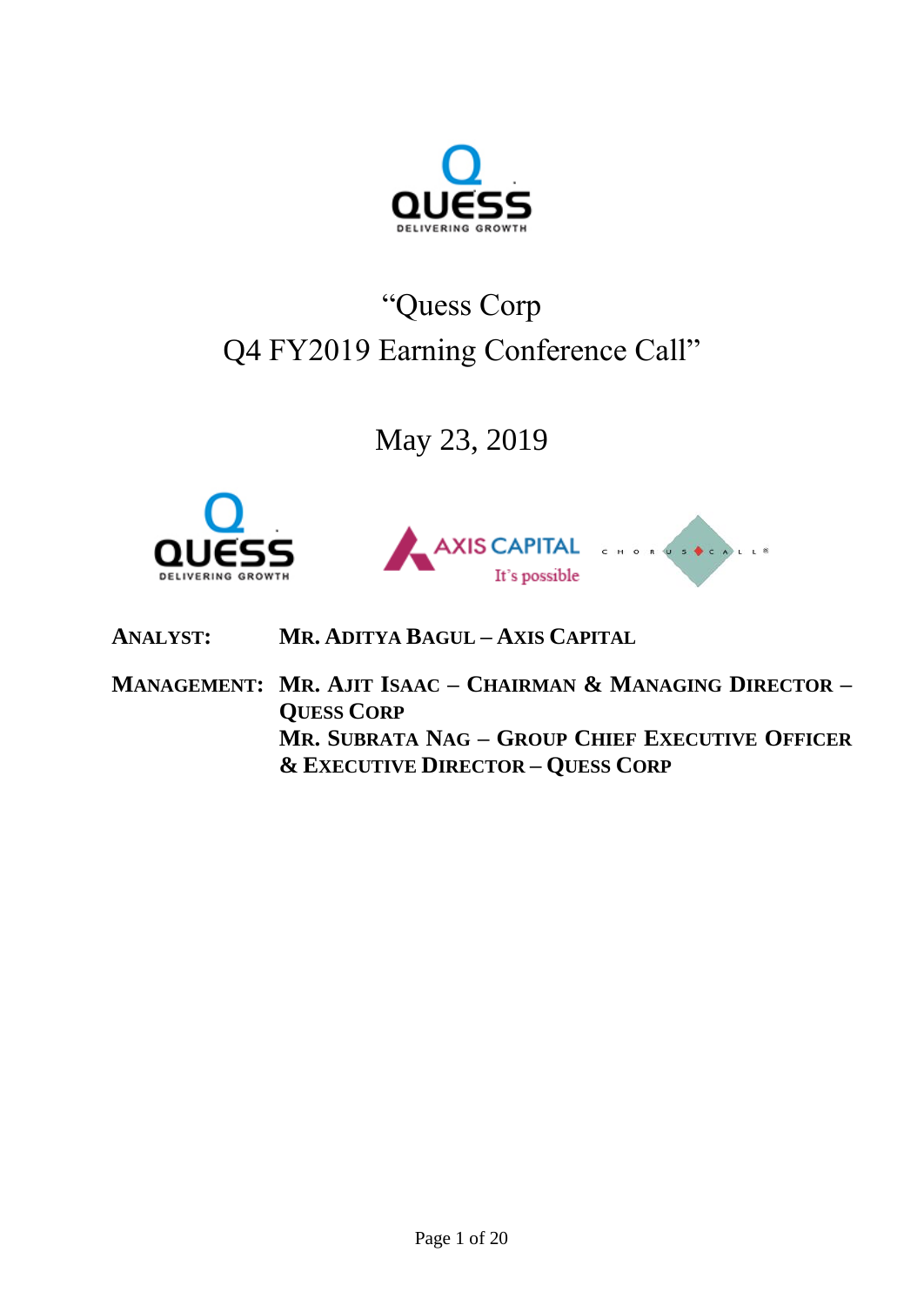

# "Quess Corp Q4 FY2019 Earning Conference Call"

May 23, 2019





**ANALYST: MR. ADITYA BAGUL – AXIS CAPITAL**

**MANAGEMENT: MR. AJIT ISAAC – CHAIRMAN & MANAGING DIRECTOR – QUESS CORP MR. SUBRATA NAG – GROUP CHIEF EXECUTIVE OFFICER & EXECUTIVE DIRECTOR – QUESS CORP**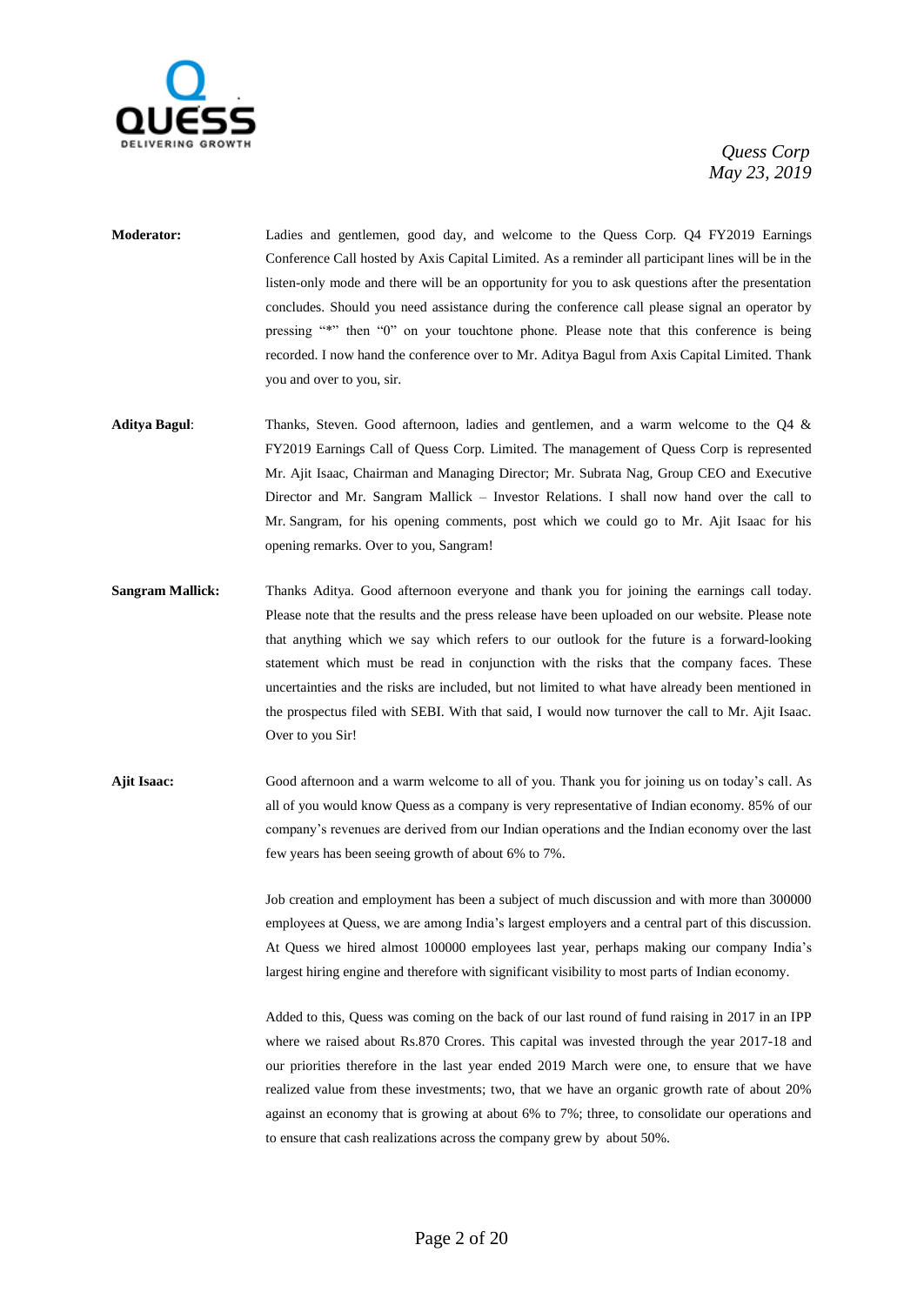

- **Moderator:** Ladies and gentlemen, good day, and welcome to the Quess Corp. Q4 FY2019 Earnings Conference Call hosted by Axis Capital Limited. As a reminder all participant lines will be in the listen-only mode and there will be an opportunity for you to ask questions after the presentation concludes. Should you need assistance during the conference call please signal an operator by pressing "\*" then "0" on your touchtone phone. Please note that this conference is being recorded. I now hand the conference over to Mr. Aditya Bagul from Axis Capital Limited. Thank you and over to you, sir.
- **Aditya Bagul**: Thanks, Steven. Good afternoon, ladies and gentlemen, and a warm welcome to the Q4 & FY2019 Earnings Call of Quess Corp. Limited. The management of Quess Corp is represented Mr. Ajit Isaac, Chairman and Managing Director; Mr. Subrata Nag, Group CEO and Executive Director and Mr. Sangram Mallick – Investor Relations. I shall now hand over the call to Mr. Sangram, for his opening comments, post which we could go to Mr. Ajit Isaac for his opening remarks. Over to you, Sangram!
- **Sangram Mallick:** Thanks Aditya. Good afternoon everyone and thank you for joining the earnings call today. Please note that the results and the press release have been uploaded on our website. Please note that anything which we say which refers to our outlook for the future is a forward-looking statement which must be read in conjunction with the risks that the company faces. These uncertainties and the risks are included, but not limited to what have already been mentioned in the prospectus filed with SEBI. With that said, I would now turnover the call to Mr. Ajit Isaac. Over to you Sir!
- **Ajit Isaac:** Good afternoon and a warm welcome to all of you. Thank you for joining us on today's call. As all of you would know Quess as a company is very representative of Indian economy. 85% of our company's revenues are derived from our Indian operations and the Indian economy over the last few years has been seeing growth of about 6% to 7%.

Job creation and employment has been a subject of much discussion and with more than 300000 employees at Quess, we are among India's largest employers and a central part of this discussion. At Quess we hired almost 100000 employees last year, perhaps making our company India's largest hiring engine and therefore with significant visibility to most parts of Indian economy.

Added to this, Quess was coming on the back of our last round of fund raising in 2017 in an IPP where we raised about Rs.870 Crores. This capital was invested through the year 2017-18 and our priorities therefore in the last year ended 2019 March were one, to ensure that we have realized value from these investments; two, that we have an organic growth rate of about 20% against an economy that is growing at about 6% to 7%; three, to consolidate our operations and to ensure that cash realizations across the company grew by about 50%.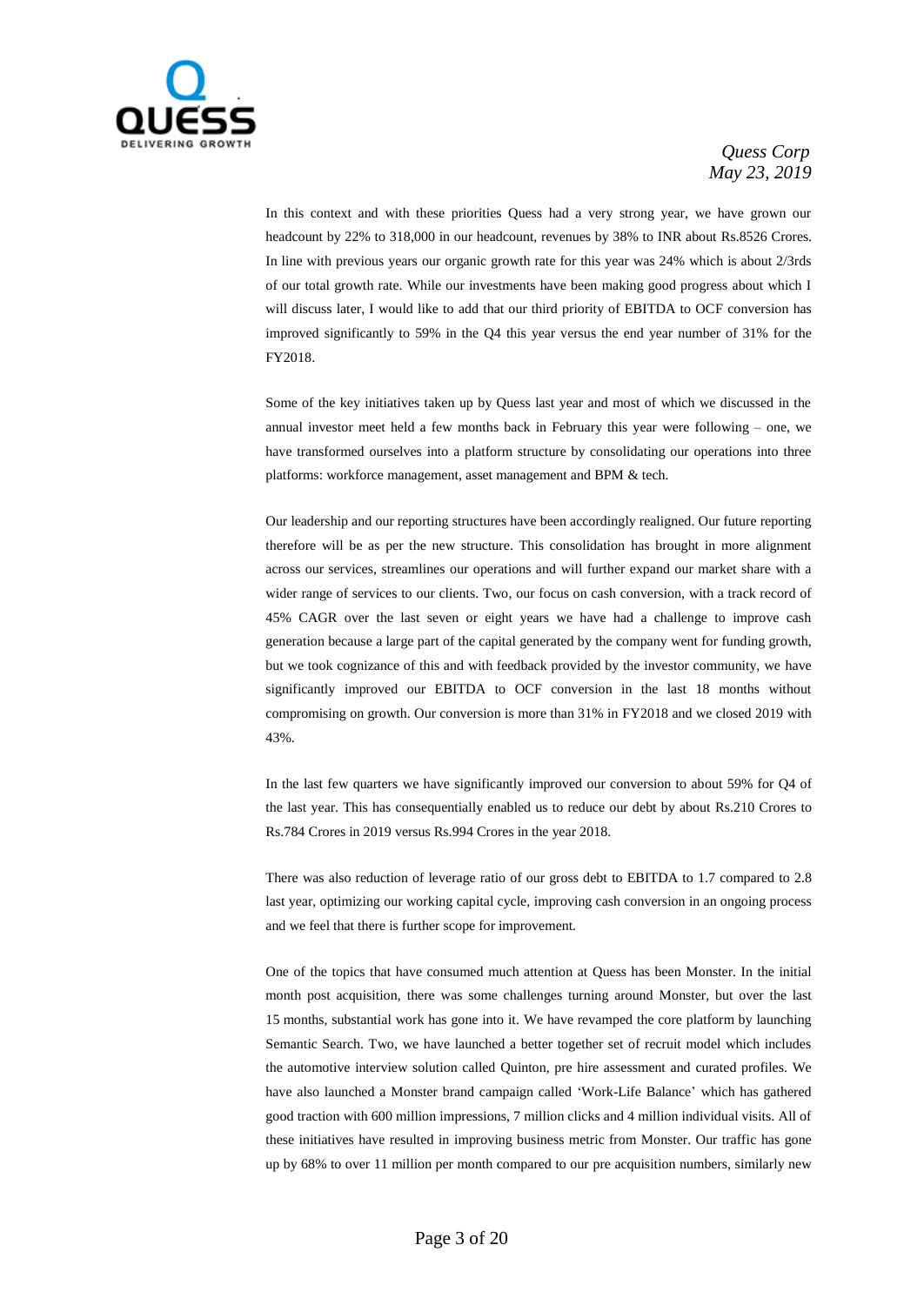

In this context and with these priorities Quess had a very strong year, we have grown our headcount by 22% to 318,000 in our headcount, revenues by 38% to INR about Rs.8526 Crores. In line with previous years our organic growth rate for this year was 24% which is about 2/3rds of our total growth rate. While our investments have been making good progress about which I will discuss later, I would like to add that our third priority of EBITDA to OCF conversion has improved significantly to 59% in the Q4 this year versus the end year number of 31% for the FY2018.

Some of the key initiatives taken up by Quess last year and most of which we discussed in the annual investor meet held a few months back in February this year were following – one, we have transformed ourselves into a platform structure by consolidating our operations into three platforms: workforce management, asset management and BPM & tech.

Our leadership and our reporting structures have been accordingly realigned. Our future reporting therefore will be as per the new structure. This consolidation has brought in more alignment across our services, streamlines our operations and will further expand our market share with a wider range of services to our clients. Two, our focus on cash conversion, with a track record of 45% CAGR over the last seven or eight years we have had a challenge to improve cash generation because a large part of the capital generated by the company went for funding growth, but we took cognizance of this and with feedback provided by the investor community, we have significantly improved our EBITDA to OCF conversion in the last 18 months without compromising on growth. Our conversion is more than 31% in FY2018 and we closed 2019 with 43%.

In the last few quarters we have significantly improved our conversion to about 59% for Q4 of the last year. This has consequentially enabled us to reduce our debt by about Rs.210 Crores to Rs.784 Crores in 2019 versus Rs.994 Crores in the year 2018.

There was also reduction of leverage ratio of our gross debt to EBITDA to 1.7 compared to 2.8 last year, optimizing our working capital cycle, improving cash conversion in an ongoing process and we feel that there is further scope for improvement.

One of the topics that have consumed much attention at Quess has been Monster. In the initial month post acquisition, there was some challenges turning around Monster, but over the last 15 months, substantial work has gone into it. We have revamped the core platform by launching Semantic Search. Two, we have launched a better together set of recruit model which includes the automotive interview solution called Quinton, pre hire assessment and curated profiles. We have also launched a Monster brand campaign called 'Work-Life Balance' which has gathered good traction with 600 million impressions, 7 million clicks and 4 million individual visits. All of these initiatives have resulted in improving business metric from Monster. Our traffic has gone up by 68% to over 11 million per month compared to our pre acquisition numbers, similarly new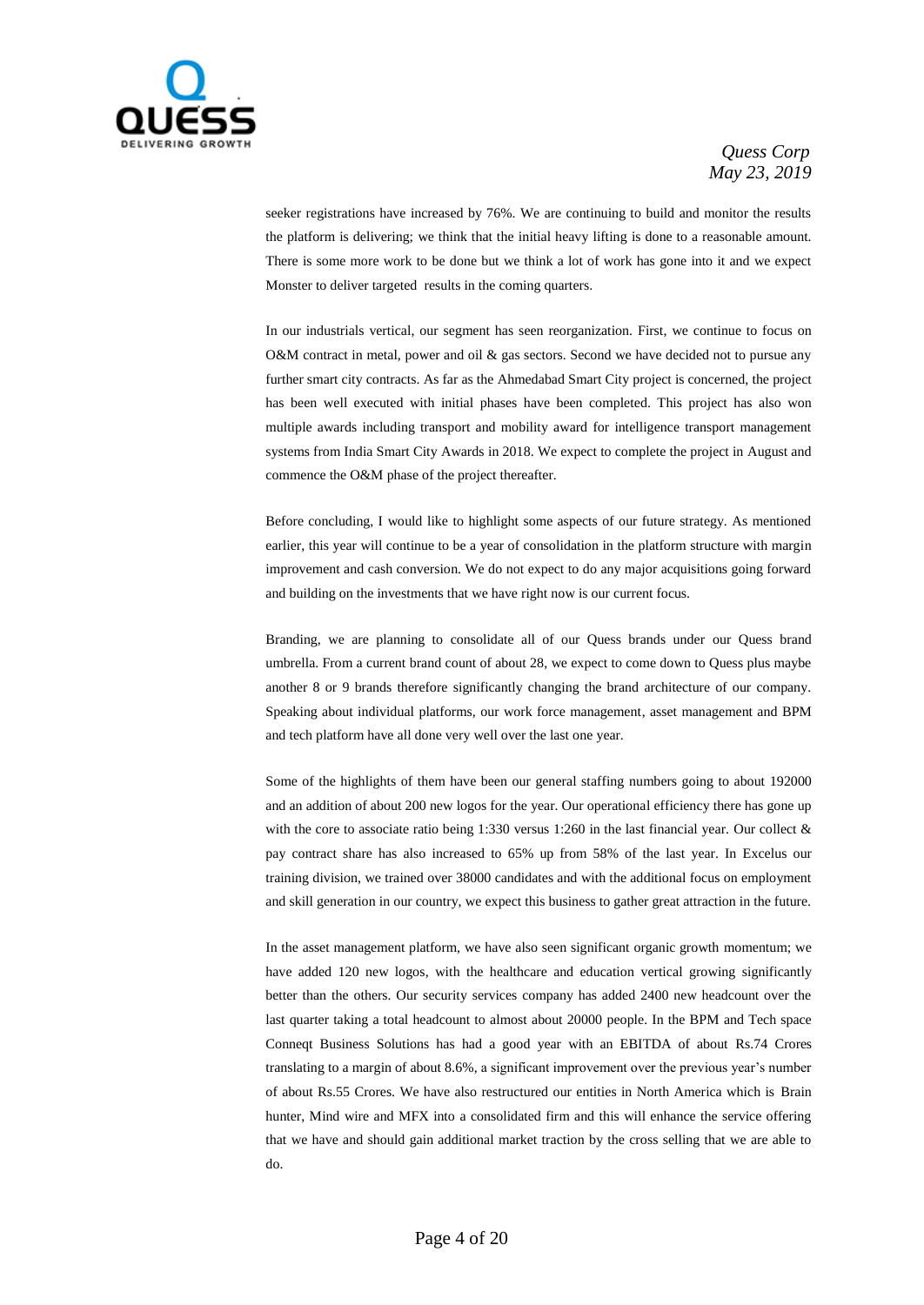

seeker registrations have increased by 76%. We are continuing to build and monitor the results the platform is delivering; we think that the initial heavy lifting is done to a reasonable amount. There is some more work to be done but we think a lot of work has gone into it and we expect Monster to deliver targeted results in the coming quarters.

In our industrials vertical, our segment has seen reorganization. First, we continue to focus on O&M contract in metal, power and oil & gas sectors. Second we have decided not to pursue any further smart city contracts. As far as the Ahmedabad Smart City project is concerned, the project has been well executed with initial phases have been completed. This project has also won multiple awards including transport and mobility award for intelligence transport management systems from India Smart City Awards in 2018. We expect to complete the project in August and commence the O&M phase of the project thereafter.

Before concluding, I would like to highlight some aspects of our future strategy. As mentioned earlier, this year will continue to be a year of consolidation in the platform structure with margin improvement and cash conversion. We do not expect to do any major acquisitions going forward and building on the investments that we have right now is our current focus.

Branding, we are planning to consolidate all of our Quess brands under our Quess brand umbrella. From a current brand count of about 28, we expect to come down to Quess plus maybe another 8 or 9 brands therefore significantly changing the brand architecture of our company. Speaking about individual platforms, our work force management, asset management and BPM and tech platform have all done very well over the last one year.

Some of the highlights of them have been our general staffing numbers going to about 192000 and an addition of about 200 new logos for the year. Our operational efficiency there has gone up with the core to associate ratio being 1:330 versus 1:260 in the last financial year. Our collect & pay contract share has also increased to 65% up from 58% of the last year. In Excelus our training division, we trained over 38000 candidates and with the additional focus on employment and skill generation in our country, we expect this business to gather great attraction in the future.

In the asset management platform, we have also seen significant organic growth momentum; we have added 120 new logos, with the healthcare and education vertical growing significantly better than the others. Our security services company has added 2400 new headcount over the last quarter taking a total headcount to almost about 20000 people. In the BPM and Tech space Conneqt Business Solutions has had a good year with an EBITDA of about Rs.74 Crores translating to a margin of about 8.6%, a significant improvement over the previous year's number of about Rs.55 Crores. We have also restructured our entities in North America which is Brain hunter, Mind wire and MFX into a consolidated firm and this will enhance the service offering that we have and should gain additional market traction by the cross selling that we are able to do.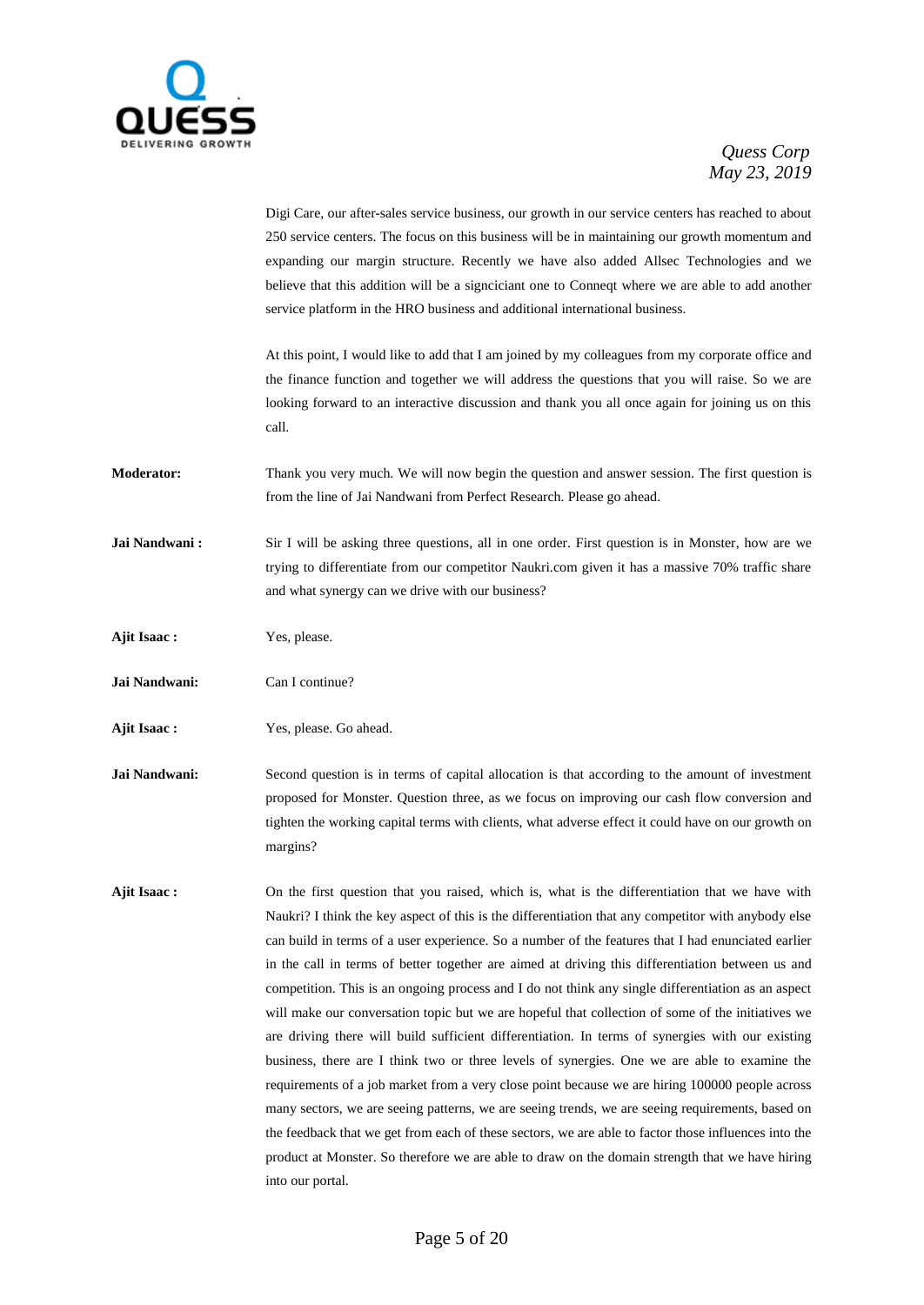

|                   | Digi Care, our after-sales service business, our growth in our service centers has reached to about<br>250 service centers. The focus on this business will be in maintaining our growth momentum and<br>expanding our margin structure. Recently we have also added Allsec Technologies and we<br>believe that this addition will be a signciciant one to Connect where we are able to add another<br>service platform in the HRO business and additional international business.                                                                                                                                                                                                                                                                                                                                                                                                                                                                                                                                                                                                                                                                                                                                                                                   |
|-------------------|----------------------------------------------------------------------------------------------------------------------------------------------------------------------------------------------------------------------------------------------------------------------------------------------------------------------------------------------------------------------------------------------------------------------------------------------------------------------------------------------------------------------------------------------------------------------------------------------------------------------------------------------------------------------------------------------------------------------------------------------------------------------------------------------------------------------------------------------------------------------------------------------------------------------------------------------------------------------------------------------------------------------------------------------------------------------------------------------------------------------------------------------------------------------------------------------------------------------------------------------------------------------|
|                   | At this point, I would like to add that I am joined by my colleagues from my corporate office and<br>the finance function and together we will address the questions that you will raise. So we are<br>looking forward to an interactive discussion and thank you all once again for joining us on this<br>call.                                                                                                                                                                                                                                                                                                                                                                                                                                                                                                                                                                                                                                                                                                                                                                                                                                                                                                                                                     |
| <b>Moderator:</b> | Thank you very much. We will now begin the question and answer session. The first question is<br>from the line of Jai Nandwani from Perfect Research. Please go ahead.                                                                                                                                                                                                                                                                                                                                                                                                                                                                                                                                                                                                                                                                                                                                                                                                                                                                                                                                                                                                                                                                                               |
| Jai Nandwani:     | Sir I will be asking three questions, all in one order. First question is in Monster, how are we<br>trying to differentiate from our competitor Naukri.com given it has a massive 70% traffic share<br>and what synergy can we drive with our business?                                                                                                                                                                                                                                                                                                                                                                                                                                                                                                                                                                                                                                                                                                                                                                                                                                                                                                                                                                                                              |
| Ajit Isaac:       | Yes, please.                                                                                                                                                                                                                                                                                                                                                                                                                                                                                                                                                                                                                                                                                                                                                                                                                                                                                                                                                                                                                                                                                                                                                                                                                                                         |
| Jai Nandwani:     | Can I continue?                                                                                                                                                                                                                                                                                                                                                                                                                                                                                                                                                                                                                                                                                                                                                                                                                                                                                                                                                                                                                                                                                                                                                                                                                                                      |
| Ajit Isaac:       | Yes, please. Go ahead.                                                                                                                                                                                                                                                                                                                                                                                                                                                                                                                                                                                                                                                                                                                                                                                                                                                                                                                                                                                                                                                                                                                                                                                                                                               |
| Jai Nandwani:     | Second question is in terms of capital allocation is that according to the amount of investment<br>proposed for Monster. Question three, as we focus on improving our cash flow conversion and<br>tighten the working capital terms with clients, what adverse effect it could have on our growth on<br>margins?                                                                                                                                                                                                                                                                                                                                                                                                                                                                                                                                                                                                                                                                                                                                                                                                                                                                                                                                                     |
| Ajit Isaac:       | On the first question that you raised, which is, what is the differentiation that we have with<br>Naukri? I think the key aspect of this is the differentiation that any competitor with anybody else<br>can build in terms of a user experience. So a number of the features that I had enunciated earlier<br>in the call in terms of better together are aimed at driving this differentiation between us and<br>competition. This is an ongoing process and I do not think any single differentiation as an aspect<br>will make our conversation topic but we are hopeful that collection of some of the initiatives we<br>are driving there will build sufficient differentiation. In terms of synergies with our existing<br>business, there are I think two or three levels of synergies. One we are able to examine the<br>requirements of a job market from a very close point because we are hiring 100000 people across<br>many sectors, we are seeing patterns, we are seeing trends, we are seeing requirements, based on<br>the feedback that we get from each of these sectors, we are able to factor those influences into the<br>product at Monster. So therefore we are able to draw on the domain strength that we have hiring<br>into our portal. |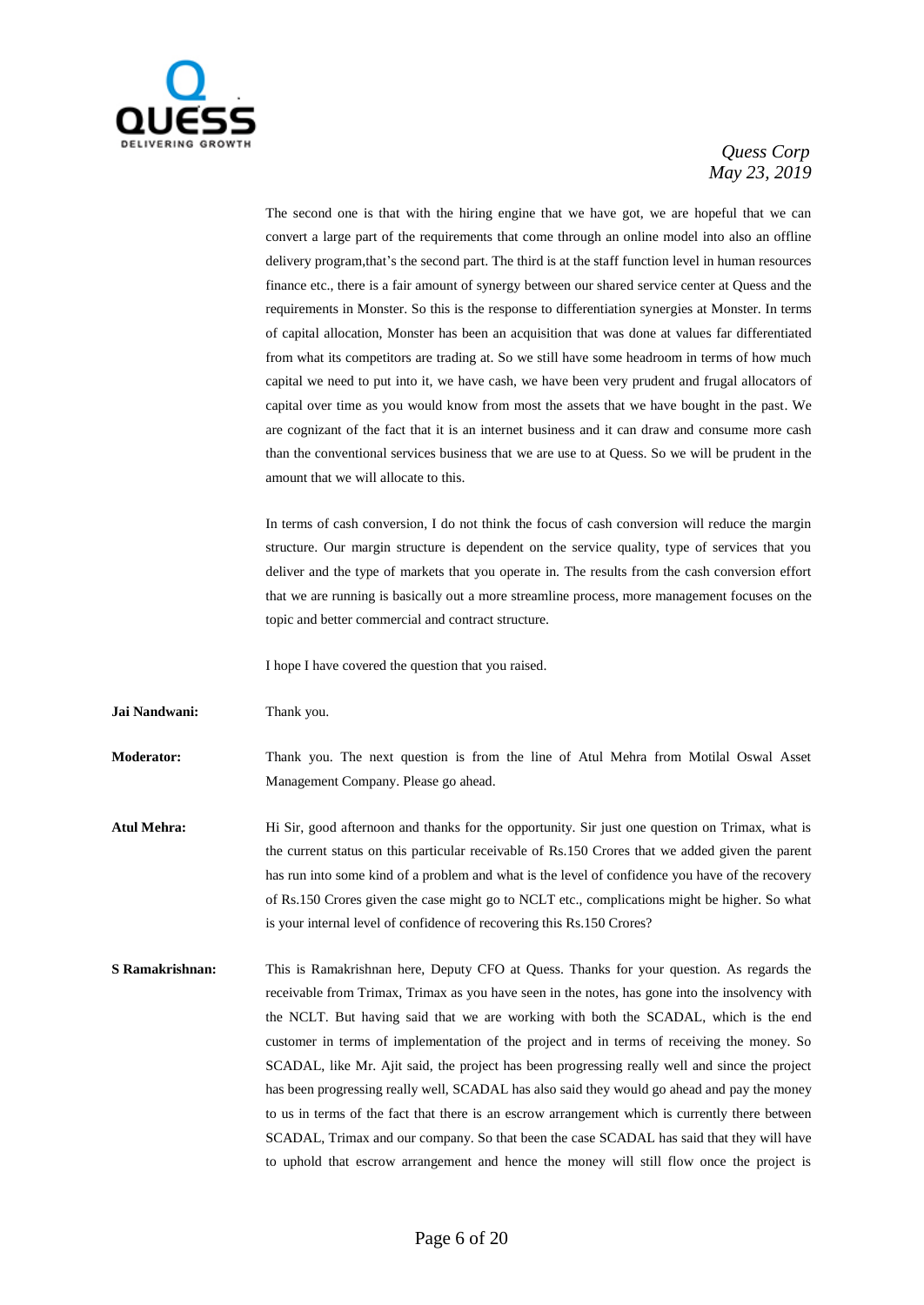

The second one is that with the hiring engine that we have got, we are hopeful that we can convert a large part of the requirements that come through an online model into also an offline delivery program,that's the second part. The third is at the staff function level in human resources finance etc., there is a fair amount of synergy between our shared service center at Quess and the requirements in Monster. So this is the response to differentiation synergies at Monster. In terms of capital allocation, Monster has been an acquisition that was done at values far differentiated from what its competitors are trading at. So we still have some headroom in terms of how much capital we need to put into it, we have cash, we have been very prudent and frugal allocators of capital over time as you would know from most the assets that we have bought in the past. We are cognizant of the fact that it is an internet business and it can draw and consume more cash than the conventional services business that we are use to at Quess. So we will be prudent in the amount that we will allocate to this.

In terms of cash conversion, I do not think the focus of cash conversion will reduce the margin structure. Our margin structure is dependent on the service quality, type of services that you deliver and the type of markets that you operate in. The results from the cash conversion effort that we are running is basically out a more streamline process, more management focuses on the topic and better commercial and contract structure.

I hope I have covered the question that you raised.

**Jai Nandwani:** Thank you.

**Moderator:** Thank you. The next question is from the line of Atul Mehra from Motilal Oswal Asset Management Company. Please go ahead.

**Atul Mehra:** Hi Sir, good afternoon and thanks for the opportunity. Sir just one question on Trimax, what is the current status on this particular receivable of Rs.150 Crores that we added given the parent has run into some kind of a problem and what is the level of confidence you have of the recovery of Rs.150 Crores given the case might go to NCLT etc., complications might be higher. So what is your internal level of confidence of recovering this Rs.150 Crores?

**S Ramakrishnan:** This is Ramakrishnan here, Deputy CFO at Quess. Thanks for your question. As regards the receivable from Trimax, Trimax as you have seen in the notes, has gone into the insolvency with the NCLT. But having said that we are working with both the SCADAL, which is the end customer in terms of implementation of the project and in terms of receiving the money. So SCADAL, like Mr. Ajit said, the project has been progressing really well and since the project has been progressing really well, SCADAL has also said they would go ahead and pay the money to us in terms of the fact that there is an escrow arrangement which is currently there between SCADAL, Trimax and our company. So that been the case SCADAL has said that they will have to uphold that escrow arrangement and hence the money will still flow once the project is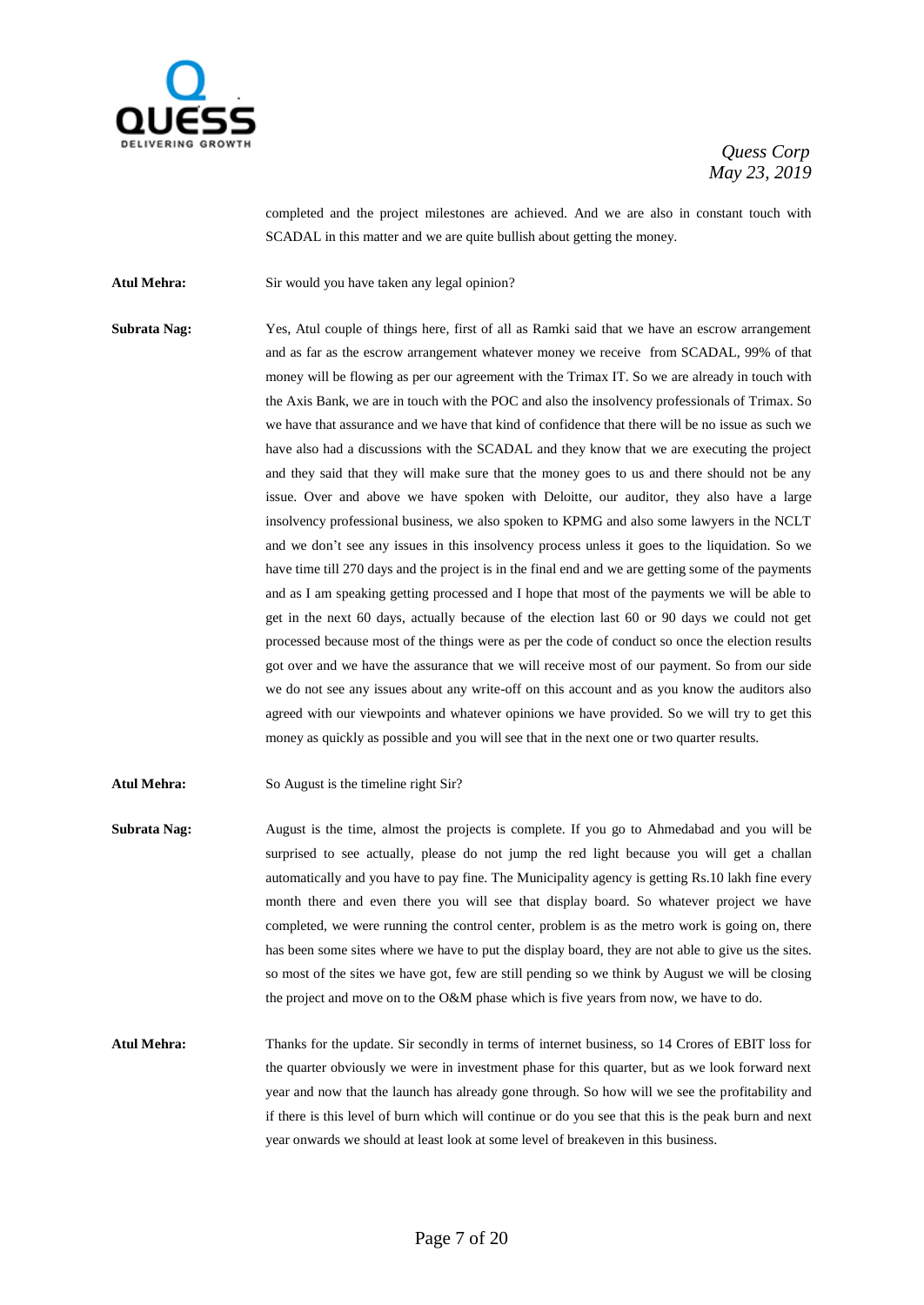

completed and the project milestones are achieved. And we are also in constant touch with SCADAL in this matter and we are quite bullish about getting the money.

Atul Mehra: Sir would you have taken any legal opinion?

**Subrata Nag:** Yes, Atul couple of things here, first of all as Ramki said that we have an escrow arrangement and as far as the escrow arrangement whatever money we receive from SCADAL, 99% of that money will be flowing as per our agreement with the Trimax IT. So we are already in touch with the Axis Bank, we are in touch with the POC and also the insolvency professionals of Trimax. So we have that assurance and we have that kind of confidence that there will be no issue as such we have also had a discussions with the SCADAL and they know that we are executing the project and they said that they will make sure that the money goes to us and there should not be any issue. Over and above we have spoken with Deloitte, our auditor, they also have a large insolvency professional business, we also spoken to KPMG and also some lawyers in the NCLT and we don't see any issues in this insolvency process unless it goes to the liquidation. So we have time till 270 days and the project is in the final end and we are getting some of the payments and as I am speaking getting processed and I hope that most of the payments we will be able to get in the next 60 days, actually because of the election last 60 or 90 days we could not get processed because most of the things were as per the code of conduct so once the election results got over and we have the assurance that we will receive most of our payment. So from our side we do not see any issues about any write-off on this account and as you know the auditors also agreed with our viewpoints and whatever opinions we have provided. So we will try to get this money as quickly as possible and you will see that in the next one or two quarter results.

Atul Mehra: So August is the timeline right Sir?

- **Subrata Nag:** August is the time, almost the projects is complete. If you go to Ahmedabad and you will be surprised to see actually, please do not jump the red light because you will get a challan automatically and you have to pay fine. The Municipality agency is getting Rs.10 lakh fine every month there and even there you will see that display board. So whatever project we have completed, we were running the control center, problem is as the metro work is going on, there has been some sites where we have to put the display board, they are not able to give us the sites. so most of the sites we have got, few are still pending so we think by August we will be closing the project and move on to the O&M phase which is five years from now, we have to do.
- **Atul Mehra:** Thanks for the update. Sir secondly in terms of internet business, so 14 Crores of EBIT loss for the quarter obviously we were in investment phase for this quarter, but as we look forward next year and now that the launch has already gone through. So how will we see the profitability and if there is this level of burn which will continue or do you see that this is the peak burn and next year onwards we should at least look at some level of breakeven in this business.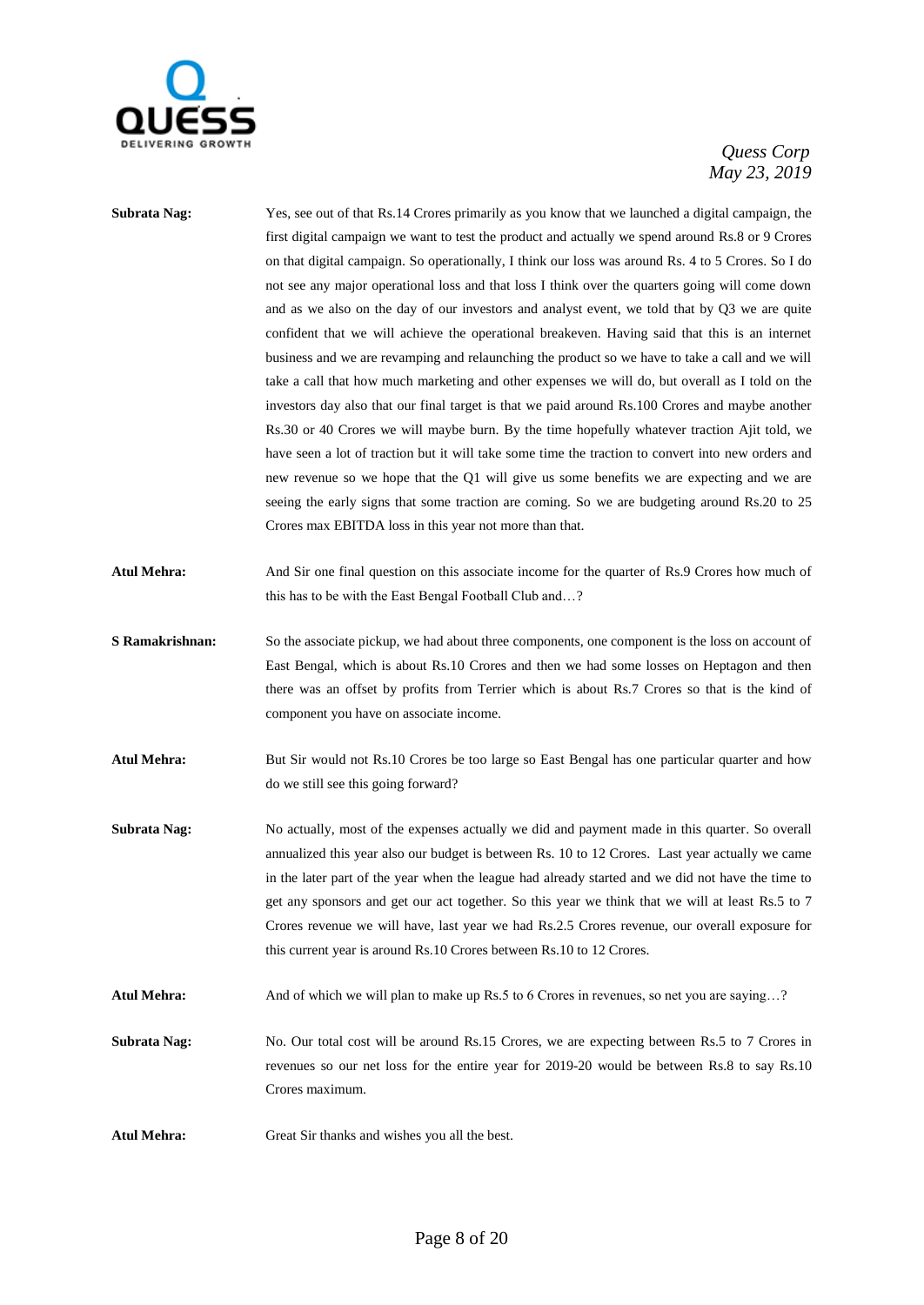

| Subrata Nag:        | Yes, see out of that Rs.14 Crores primarily as you know that we launched a digital campaign, the<br>first digital campaign we want to test the product and actually we spend around Rs.8 or 9 Crores<br>on that digital campaign. So operationally, I think our loss was around Rs. 4 to 5 Crores. So I do<br>not see any major operational loss and that loss I think over the quarters going will come down<br>and as we also on the day of our investors and analyst event, we told that by Q3 we are quite<br>confident that we will achieve the operational breakeven. Having said that this is an internet<br>business and we are revamping and relaunching the product so we have to take a call and we will<br>take a call that how much marketing and other expenses we will do, but overall as I told on the<br>investors day also that our final target is that we paid around Rs.100 Crores and maybe another<br>Rs.30 or 40 Crores we will maybe burn. By the time hopefully whatever traction Ajit told, we<br>have seen a lot of traction but it will take some time the traction to convert into new orders and<br>new revenue so we hope that the Q1 will give us some benefits we are expecting and we are |
|---------------------|------------------------------------------------------------------------------------------------------------------------------------------------------------------------------------------------------------------------------------------------------------------------------------------------------------------------------------------------------------------------------------------------------------------------------------------------------------------------------------------------------------------------------------------------------------------------------------------------------------------------------------------------------------------------------------------------------------------------------------------------------------------------------------------------------------------------------------------------------------------------------------------------------------------------------------------------------------------------------------------------------------------------------------------------------------------------------------------------------------------------------------------------------------------------------------------------------------------------------|
|                     | seeing the early signs that some traction are coming. So we are budgeting around Rs.20 to 25<br>Crores max EBITDA loss in this year not more than that.                                                                                                                                                                                                                                                                                                                                                                                                                                                                                                                                                                                                                                                                                                                                                                                                                                                                                                                                                                                                                                                                      |
| Atul Mehra:         | And Sir one final question on this associate income for the quarter of Rs.9 Crores how much of<br>this has to be with the East Bengal Football Club and?                                                                                                                                                                                                                                                                                                                                                                                                                                                                                                                                                                                                                                                                                                                                                                                                                                                                                                                                                                                                                                                                     |
| S Ramakrishnan:     | So the associate pickup, we had about three components, one component is the loss on account of<br>East Bengal, which is about Rs.10 Crores and then we had some losses on Heptagon and then<br>there was an offset by profits from Terrier which is about Rs.7 Crores so that is the kind of<br>component you have on associate income.                                                                                                                                                                                                                                                                                                                                                                                                                                                                                                                                                                                                                                                                                                                                                                                                                                                                                     |
| Atul Mehra:         | But Sir would not Rs.10 Crores be too large so East Bengal has one particular quarter and how<br>do we still see this going forward?                                                                                                                                                                                                                                                                                                                                                                                                                                                                                                                                                                                                                                                                                                                                                                                                                                                                                                                                                                                                                                                                                         |
| <b>Subrata Nag:</b> | No actually, most of the expenses actually we did and payment made in this quarter. So overall<br>annualized this year also our budget is between Rs. 10 to 12 Crores. Last year actually we came<br>in the later part of the year when the league had already started and we did not have the time to<br>get any sponsors and get our act together. So this year we think that we will at least Rs.5 to 7<br>Crores revenue we will have, last year we had Rs.2.5 Crores revenue, our overall exposure for<br>this current year is around Rs.10 Crores between Rs.10 to 12 Crores.                                                                                                                                                                                                                                                                                                                                                                                                                                                                                                                                                                                                                                          |
| Atul Mehra:         | And of which we will plan to make up Rs.5 to 6 Crores in revenues, so net you are saying?                                                                                                                                                                                                                                                                                                                                                                                                                                                                                                                                                                                                                                                                                                                                                                                                                                                                                                                                                                                                                                                                                                                                    |
| Subrata Nag:        | No. Our total cost will be around Rs.15 Crores, we are expecting between Rs.5 to 7 Crores in<br>revenues so our net loss for the entire year for 2019-20 would be between Rs.8 to say Rs.10<br>Crores maximum.                                                                                                                                                                                                                                                                                                                                                                                                                                                                                                                                                                                                                                                                                                                                                                                                                                                                                                                                                                                                               |
| <b>Atul Mehra:</b>  | Great Sir thanks and wishes you all the best.                                                                                                                                                                                                                                                                                                                                                                                                                                                                                                                                                                                                                                                                                                                                                                                                                                                                                                                                                                                                                                                                                                                                                                                |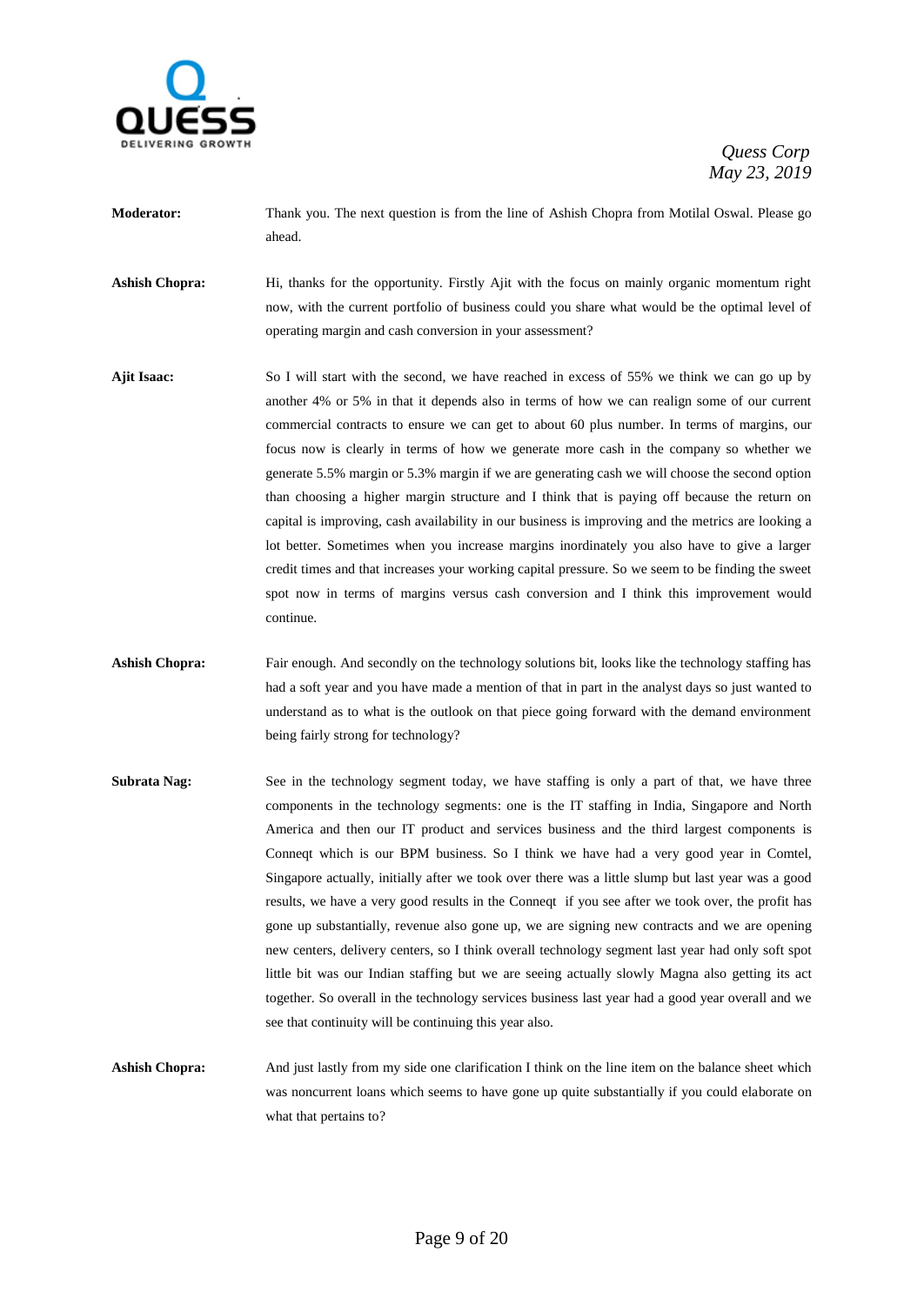

- **Moderator:** Thank you. The next question is from the line of Ashish Chopra from Motilal Oswal. Please go ahead.
- **Ashish Chopra:** Hi, thanks for the opportunity. Firstly Ajit with the focus on mainly organic momentum right now, with the current portfolio of business could you share what would be the optimal level of operating margin and cash conversion in your assessment?
- **Ajit Isaac:** So I will start with the second, we have reached in excess of 55% we think we can go up by another 4% or 5% in that it depends also in terms of how we can realign some of our current commercial contracts to ensure we can get to about 60 plus number. In terms of margins, our focus now is clearly in terms of how we generate more cash in the company so whether we generate 5.5% margin or 5.3% margin if we are generating cash we will choose the second option than choosing a higher margin structure and I think that is paying off because the return on capital is improving, cash availability in our business is improving and the metrics are looking a lot better. Sometimes when you increase margins inordinately you also have to give a larger credit times and that increases your working capital pressure. So we seem to be finding the sweet spot now in terms of margins versus cash conversion and I think this improvement would continue.
- Ashish Chopra: Fair enough. And secondly on the technology solutions bit, looks like the technology staffing has had a soft year and you have made a mention of that in part in the analyst days so just wanted to understand as to what is the outlook on that piece going forward with the demand environment being fairly strong for technology?
- **Subrata Nag:** See in the technology segment today, we have staffing is only a part of that, we have three components in the technology segments: one is the IT staffing in India, Singapore and North America and then our IT product and services business and the third largest components is Conneqt which is our BPM business. So I think we have had a very good year in Comtel, Singapore actually, initially after we took over there was a little slump but last year was a good results, we have a very good results in the Conneqt if you see after we took over, the profit has gone up substantially, revenue also gone up, we are signing new contracts and we are opening new centers, delivery centers, so I think overall technology segment last year had only soft spot little bit was our Indian staffing but we are seeing actually slowly Magna also getting its act together. So overall in the technology services business last year had a good year overall and we see that continuity will be continuing this year also.
- **Ashish Chopra:** And just lastly from my side one clarification I think on the line item on the balance sheet which was noncurrent loans which seems to have gone up quite substantially if you could elaborate on what that pertains to?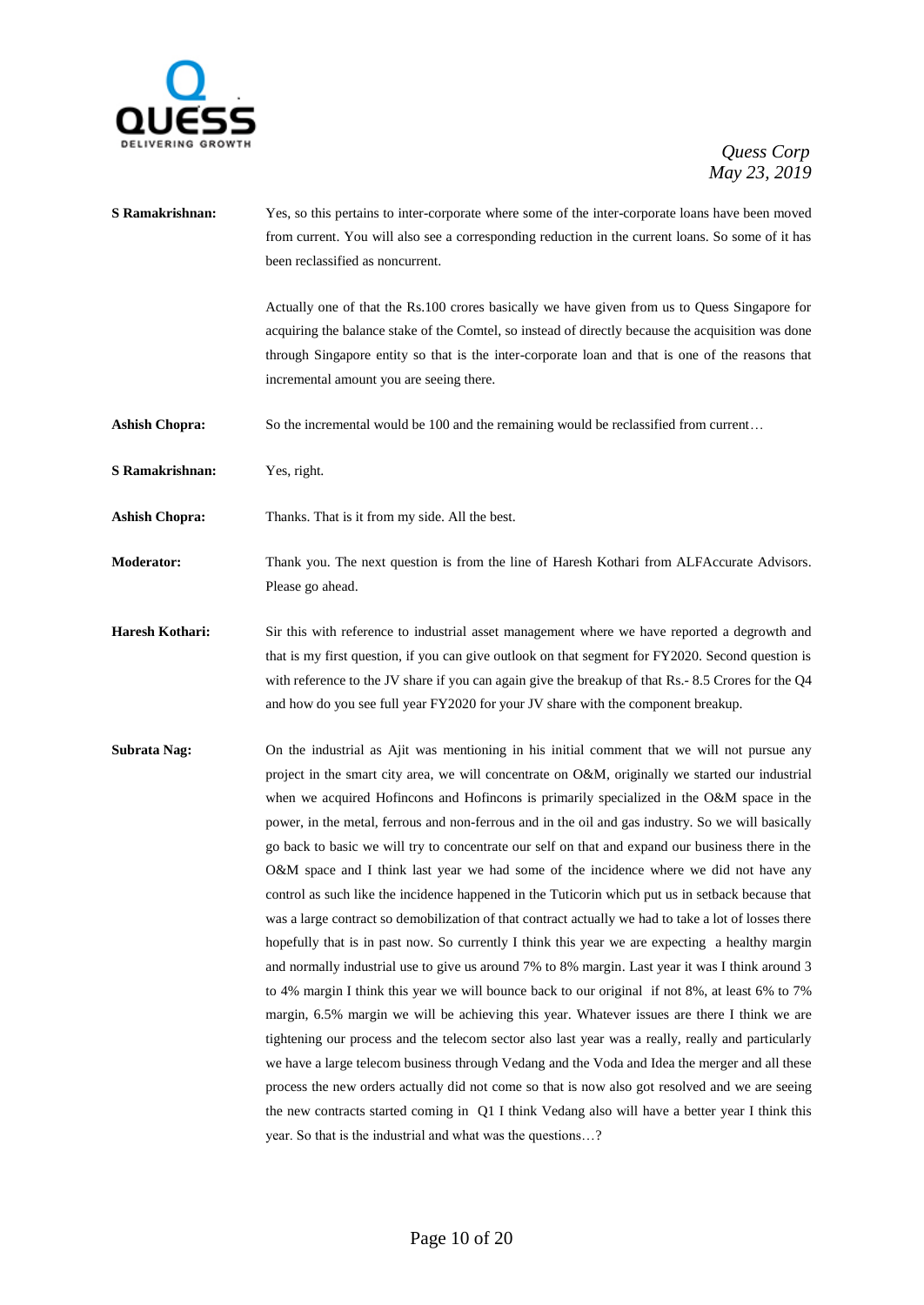

- **S Ramakrishnan:** Yes, so this pertains to inter-corporate where some of the inter-corporate loans have been moved from current. You will also see a corresponding reduction in the current loans. So some of it has been reclassified as noncurrent. Actually one of that the Rs.100 crores basically we have given from us to Quess Singapore for acquiring the balance stake of the Comtel, so instead of directly because the acquisition was done through Singapore entity so that is the inter-corporate loan and that is one of the reasons that incremental amount you are seeing there. Ashish Chopra: So the incremental would be 100 and the remaining would be reclassified from current... **S Ramakrishnan:** Yes, right. **Ashish Chopra:** Thanks. That is it from my side. All the best. **Moderator:** Thank you. The next question is from the line of Haresh Kothari from ALFAccurate Advisors. Please go ahead. **Haresh Kothari:** Sir this with reference to industrial asset management where we have reported a degrowth and that is my first question, if you can give outlook on that segment for FY2020. Second question is with reference to the JV share if you can again give the breakup of that Rs.- 8.5 Crores for the Q4 and how do you see full year FY2020 for your JV share with the component breakup. **Subrata Nag:** On the industrial as Ajit was mentioning in his initial comment that we will not pursue any project in the smart city area, we will concentrate on O&M, originally we started our industrial when we acquired Hofincons and Hofincons is primarily specialized in the O&M space in the power, in the metal, ferrous and non-ferrous and in the oil and gas industry. So we will basically go back to basic we will try to concentrate our self on that and expand our business there in the O&M space and I think last year we had some of the incidence where we did not have any control as such like the incidence happened in the Tuticorin which put us in setback because that was a large contract so demobilization of that contract actually we had to take a lot of losses there hopefully that is in past now. So currently I think this year we are expecting a healthy margin and normally industrial use to give us around 7% to 8% margin. Last year it was I think around 3 to 4% margin I think this year we will bounce back to our original if not 8%, at least 6% to 7%
	- margin, 6.5% margin we will be achieving this year. Whatever issues are there I think we are tightening our process and the telecom sector also last year was a really, really and particularly we have a large telecom business through Vedang and the Voda and Idea the merger and all these process the new orders actually did not come so that is now also got resolved and we are seeing the new contracts started coming in Q1 I think Vedang also will have a better year I think this year. So that is the industrial and what was the questions…?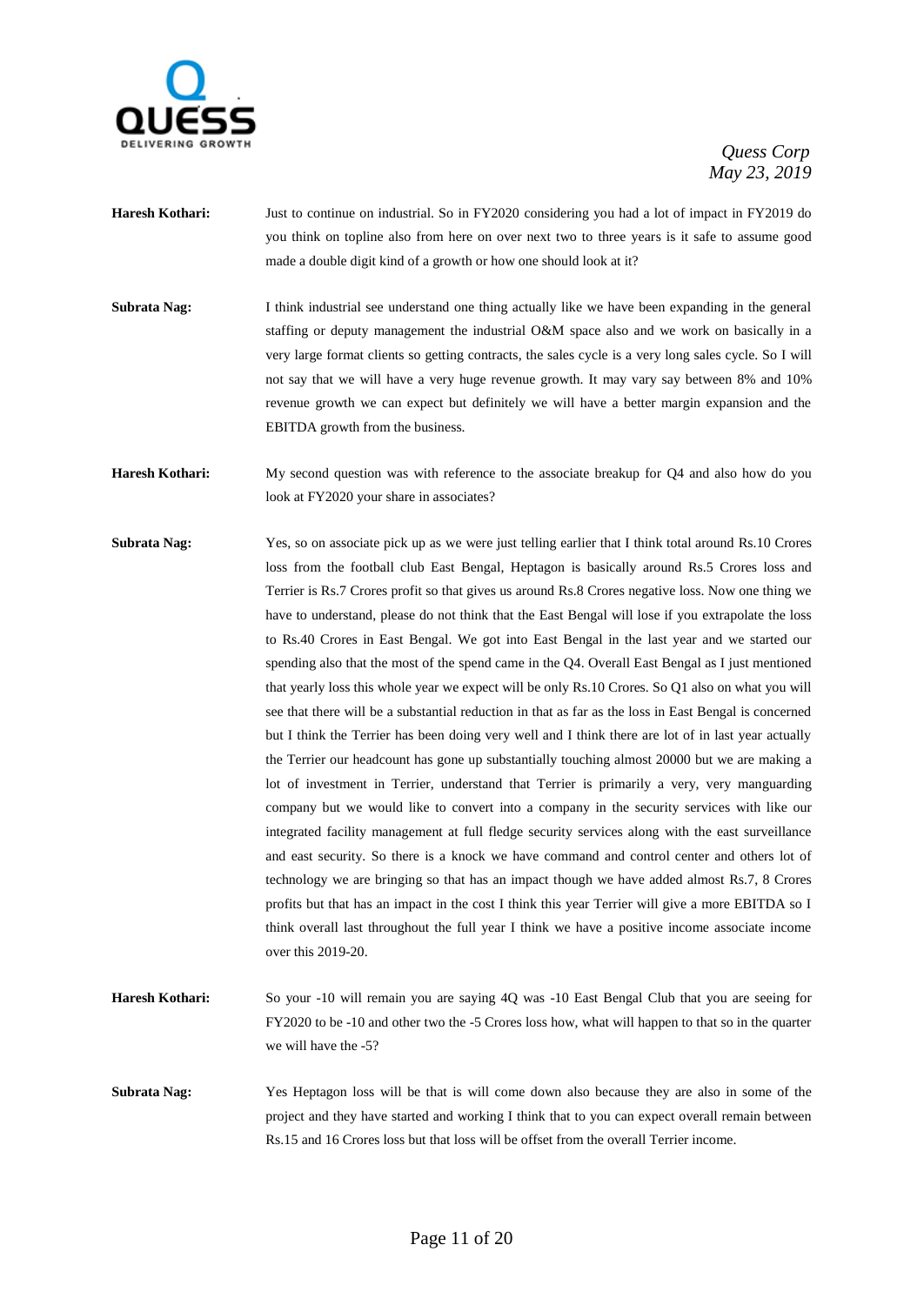

- **Haresh Kothari:** Just to continue on industrial. So in FY2020 considering you had a lot of impact in FY2019 do you think on topline also from here on over next two to three years is it safe to assume good made a double digit kind of a growth or how one should look at it?
- **Subrata Nag:** I think industrial see understand one thing actually like we have been expanding in the general staffing or deputy management the industrial O&M space also and we work on basically in a very large format clients so getting contracts, the sales cycle is a very long sales cycle. So I will not say that we will have a very huge revenue growth. It may vary say between 8% and 10% revenue growth we can expect but definitely we will have a better margin expansion and the EBITDA growth from the business.
- **Haresh Kothari:** My second question was with reference to the associate breakup for Q4 and also how do you look at FY2020 your share in associates?
- **Subrata Nag:** Yes, so on associate pick up as we were just telling earlier that I think total around Rs.10 Crores loss from the football club East Bengal, Heptagon is basically around Rs.5 Crores loss and Terrier is Rs.7 Crores profit so that gives us around Rs.8 Crores negative loss. Now one thing we have to understand, please do not think that the East Bengal will lose if you extrapolate the loss to Rs.40 Crores in East Bengal. We got into East Bengal in the last year and we started our spending also that the most of the spend came in the Q4. Overall East Bengal as I just mentioned that yearly loss this whole year we expect will be only Rs.10 Crores. So Q1 also on what you will see that there will be a substantial reduction in that as far as the loss in East Bengal is concerned but I think the Terrier has been doing very well and I think there are lot of in last year actually the Terrier our headcount has gone up substantially touching almost 20000 but we are making a lot of investment in Terrier, understand that Terrier is primarily a very, very manguarding company but we would like to convert into a company in the security services with like our integrated facility management at full fledge security services along with the east surveillance and east security. So there is a knock we have command and control center and others lot of technology we are bringing so that has an impact though we have added almost Rs.7, 8 Crores profits but that has an impact in the cost I think this year Terrier will give a more EBITDA so I think overall last throughout the full year I think we have a positive income associate income over this 2019-20.
- **Haresh Kothari:** So your -10 will remain you are saying 4Q was -10 East Bengal Club that you are seeing for FY2020 to be -10 and other two the -5 Crores loss how, what will happen to that so in the quarter we will have the -5?
- **Subrata Nag:** Yes Heptagon loss will be that is will come down also because they are also in some of the project and they have started and working I think that to you can expect overall remain between Rs.15 and 16 Crores loss but that loss will be offset from the overall Terrier income.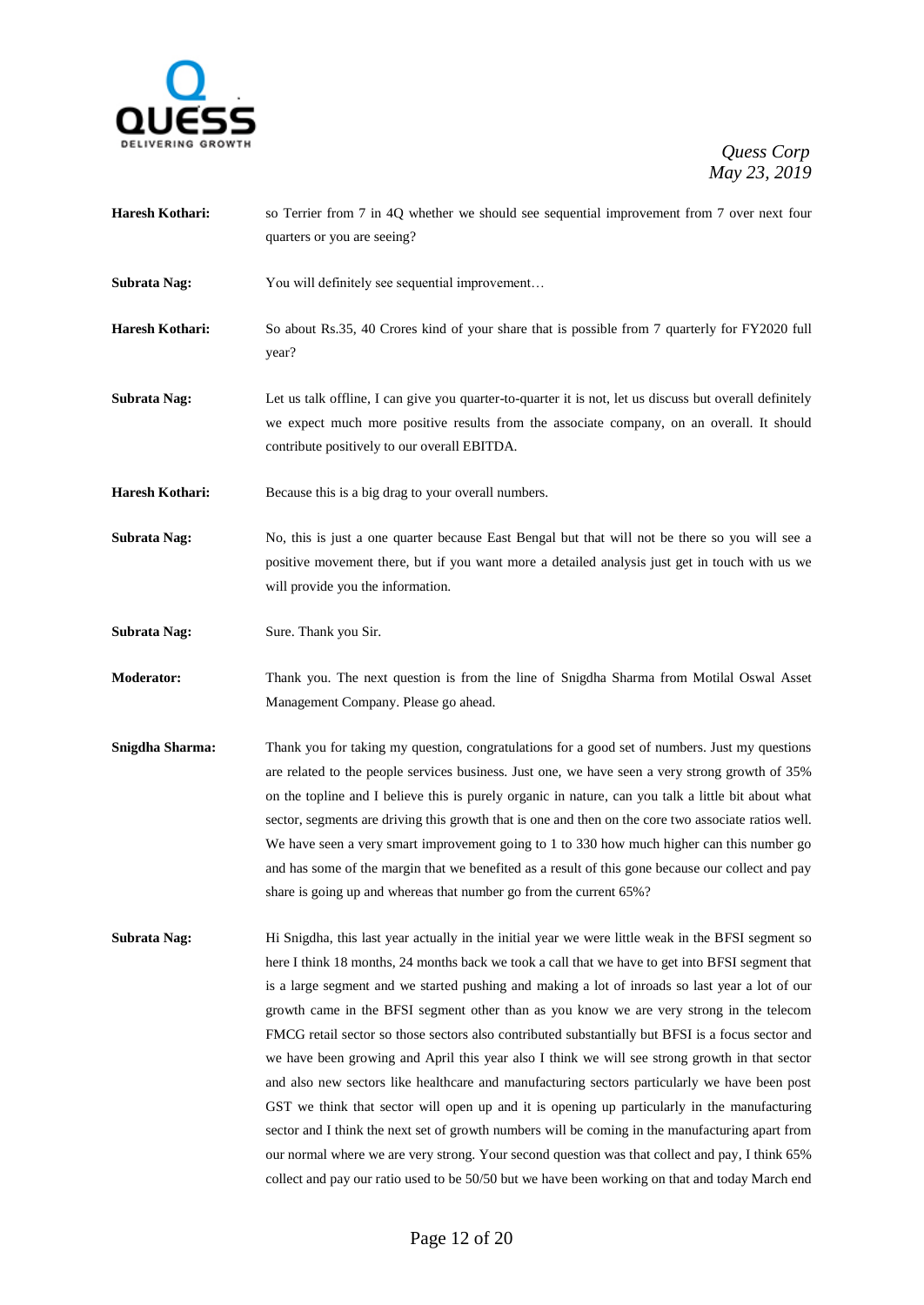

- **Haresh Kothari:** so Terrier from 7 in 4Q whether we should see sequential improvement from 7 over next four quarters or you are seeing?
- **Subrata Nag:** You will definitely see sequential improvement...
- **Haresh Kothari:** So about Rs.35, 40 Crores kind of your share that is possible from 7 quarterly for FY2020 full year?
- **Subrata Nag:** Let us talk offline, I can give you quarter-to-quarter it is not, let us discuss but overall definitely we expect much more positive results from the associate company, on an overall. It should contribute positively to our overall EBITDA.
- Haresh Kothari: Because this is a big drag to your overall numbers.
- **Subrata Nag:** No, this is just a one quarter because East Bengal but that will not be there so you will see a positive movement there, but if you want more a detailed analysis just get in touch with us we will provide you the information.
- **Subrata Nag:** Sure. Thank you Sir.
- **Moderator:** Thank you. The next question is from the line of Snigdha Sharma from Motilal Oswal Asset Management Company. Please go ahead.
- **Snigdha Sharma:** Thank you for taking my question, congratulations for a good set of numbers. Just my questions are related to the people services business. Just one, we have seen a very strong growth of 35% on the topline and I believe this is purely organic in nature, can you talk a little bit about what sector, segments are driving this growth that is one and then on the core two associate ratios well. We have seen a very smart improvement going to 1 to 330 how much higher can this number go and has some of the margin that we benefited as a result of this gone because our collect and pay share is going up and whereas that number go from the current 65%?
- **Subrata Nag:** Hi Snigdha, this last year actually in the initial year we were little weak in the BFSI segment so here I think 18 months, 24 months back we took a call that we have to get into BFSI segment that is a large segment and we started pushing and making a lot of inroads so last year a lot of our growth came in the BFSI segment other than as you know we are very strong in the telecom FMCG retail sector so those sectors also contributed substantially but BFSI is a focus sector and we have been growing and April this year also I think we will see strong growth in that sector and also new sectors like healthcare and manufacturing sectors particularly we have been post GST we think that sector will open up and it is opening up particularly in the manufacturing sector and I think the next set of growth numbers will be coming in the manufacturing apart from our normal where we are very strong. Your second question was that collect and pay, I think 65% collect and pay our ratio used to be 50/50 but we have been working on that and today March end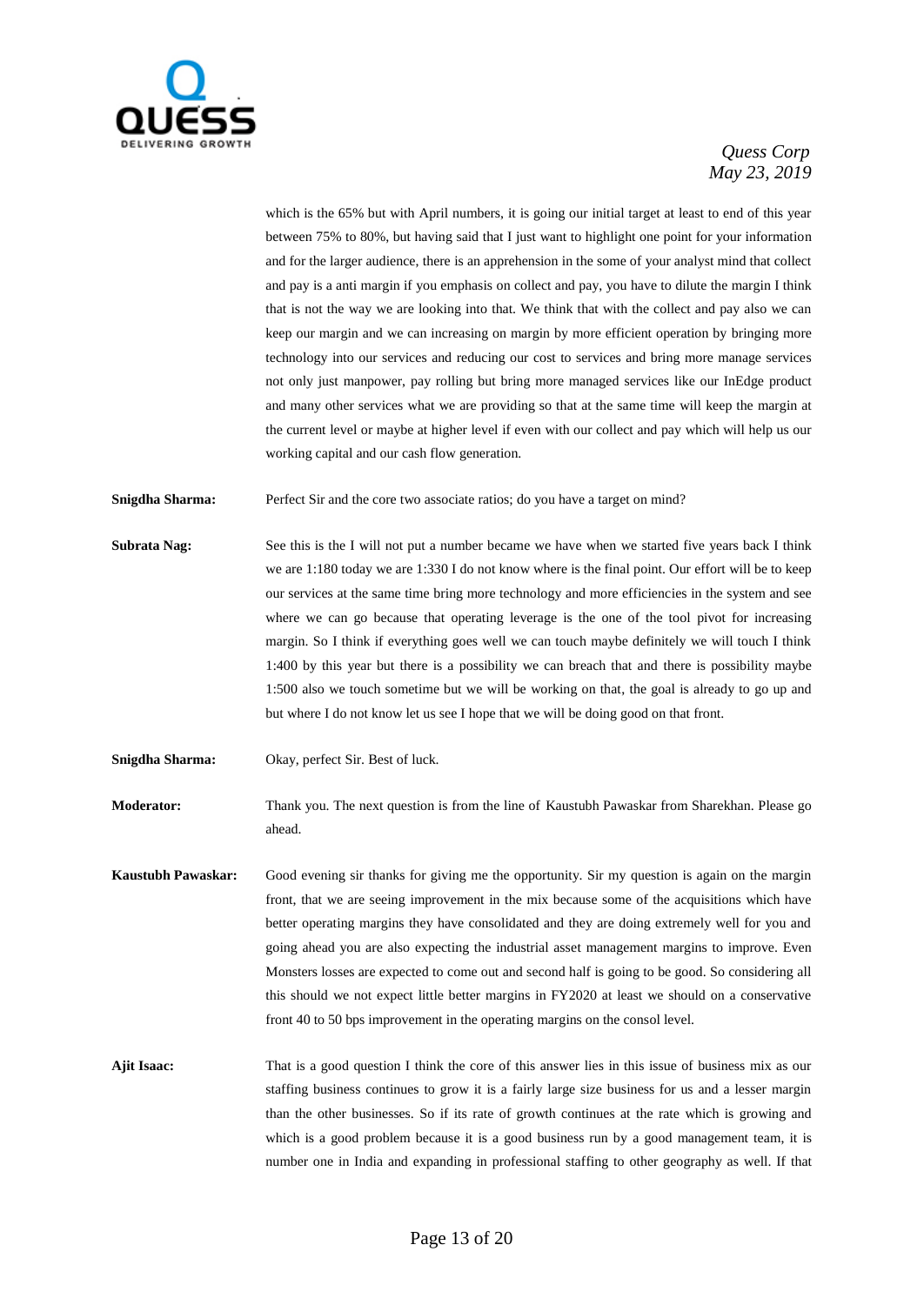

which is the 65% but with April numbers, it is going our initial target at least to end of this year between 75% to 80%, but having said that I just want to highlight one point for your information and for the larger audience, there is an apprehension in the some of your analyst mind that collect and pay is a anti margin if you emphasis on collect and pay, you have to dilute the margin I think that is not the way we are looking into that. We think that with the collect and pay also we can keep our margin and we can increasing on margin by more efficient operation by bringing more technology into our services and reducing our cost to services and bring more manage services not only just manpower, pay rolling but bring more managed services like our InEdge product and many other services what we are providing so that at the same time will keep the margin at the current level or maybe at higher level if even with our collect and pay which will help us our working capital and our cash flow generation.

**Snigdha Sharma:** Perfect Sir and the core two associate ratios; do you have a target on mind?

- **Subrata Nag:** See this is the I will not put a number became we have when we started five years back I think we are 1:180 today we are 1:330 I do not know where is the final point. Our effort will be to keep our services at the same time bring more technology and more efficiencies in the system and see where we can go because that operating leverage is the one of the tool pivot for increasing margin. So I think if everything goes well we can touch maybe definitely we will touch I think 1:400 by this year but there is a possibility we can breach that and there is possibility maybe 1:500 also we touch sometime but we will be working on that, the goal is already to go up and but where I do not know let us see I hope that we will be doing good on that front.
- **Snigdha Sharma:** Okay, perfect Sir. Best of luck.

**Moderator:** Thank you. The next question is from the line of Kaustubh Pawaskar from Sharekhan. Please go ahead.

**Kaustubh Pawaskar:** Good evening sir thanks for giving me the opportunity. Sir my question is again on the margin front, that we are seeing improvement in the mix because some of the acquisitions which have better operating margins they have consolidated and they are doing extremely well for you and going ahead you are also expecting the industrial asset management margins to improve. Even Monsters losses are expected to come out and second half is going to be good. So considering all this should we not expect little better margins in FY2020 at least we should on a conservative front 40 to 50 bps improvement in the operating margins on the consol level.

**Ajit Isaac:** That is a good question I think the core of this answer lies in this issue of business mix as our staffing business continues to grow it is a fairly large size business for us and a lesser margin than the other businesses. So if its rate of growth continues at the rate which is growing and which is a good problem because it is a good business run by a good management team, it is number one in India and expanding in professional staffing to other geography as well. If that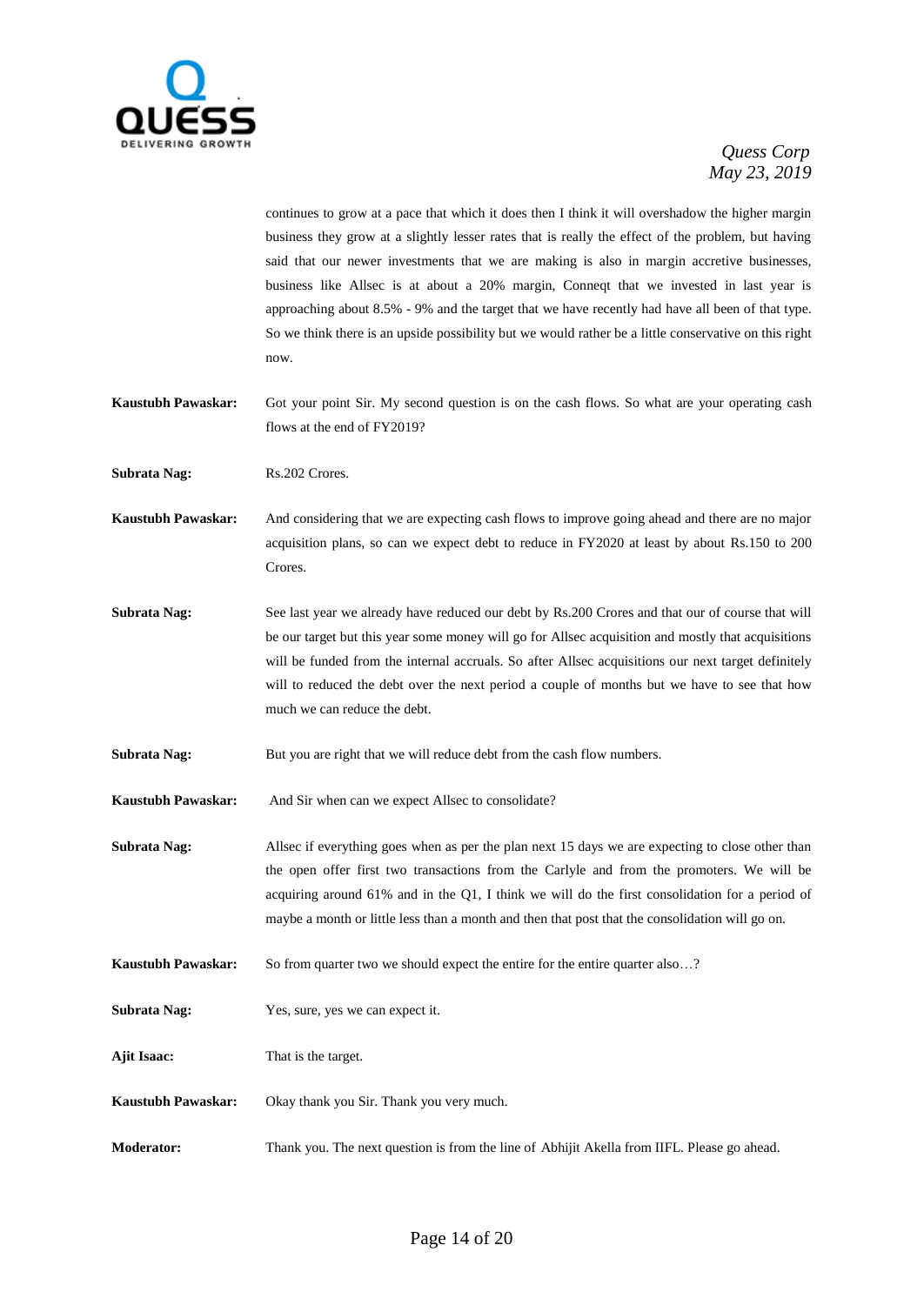

continues to grow at a pace that which it does then I think it will overshadow the higher margin business they grow at a slightly lesser rates that is really the effect of the problem, but having said that our newer investments that we are making is also in margin accretive businesses, business like Allsec is at about a 20% margin, Conneqt that we invested in last year is approaching about 8.5% - 9% and the target that we have recently had have all been of that type. So we think there is an upside possibility but we would rather be a little conservative on this right now.

**Kaustubh Pawaskar:** Got your point Sir. My second question is on the cash flows. So what are your operating cash flows at the end of FY2019?

**Subrata Nag:** Rs.202 Crores.

**Kaustubh Pawaskar:** And considering that we are expecting cash flows to improve going ahead and there are no major acquisition plans, so can we expect debt to reduce in FY2020 at least by about Rs.150 to 200 Crores.

- **Subrata Nag:** See last year we already have reduced our debt by Rs.200 Crores and that our of course that will be our target but this year some money will go for Allsec acquisition and mostly that acquisitions will be funded from the internal accruals. So after Allsec acquisitions our next target definitely will to reduced the debt over the next period a couple of months but we have to see that how much we can reduce the debt.
- **Subrata Nag:** But you are right that we will reduce debt from the cash flow numbers.

**Kaustubh Pawaskar:** And Sir when can we expect Allsec to consolidate?

- **Subrata Nag:** Allsec if everything goes when as per the plan next 15 days we are expecting to close other than the open offer first two transactions from the Carlyle and from the promoters. We will be acquiring around 61% and in the Q1, I think we will do the first consolidation for a period of maybe a month or little less than a month and then that post that the consolidation will go on.
- **Kaustubh Pawaskar:** So from quarter two we should expect the entire for the entire quarter also...?
- **Subrata Nag:** Yes, sure, yes we can expect it.
- **Ajit Isaac:** That is the target.
- **Kaustubh Pawaskar:** Okay thank you Sir. Thank you very much.
- **Moderator:** Thank you. The next question is from the line of Abhijit Akella from IIFL. Please go ahead.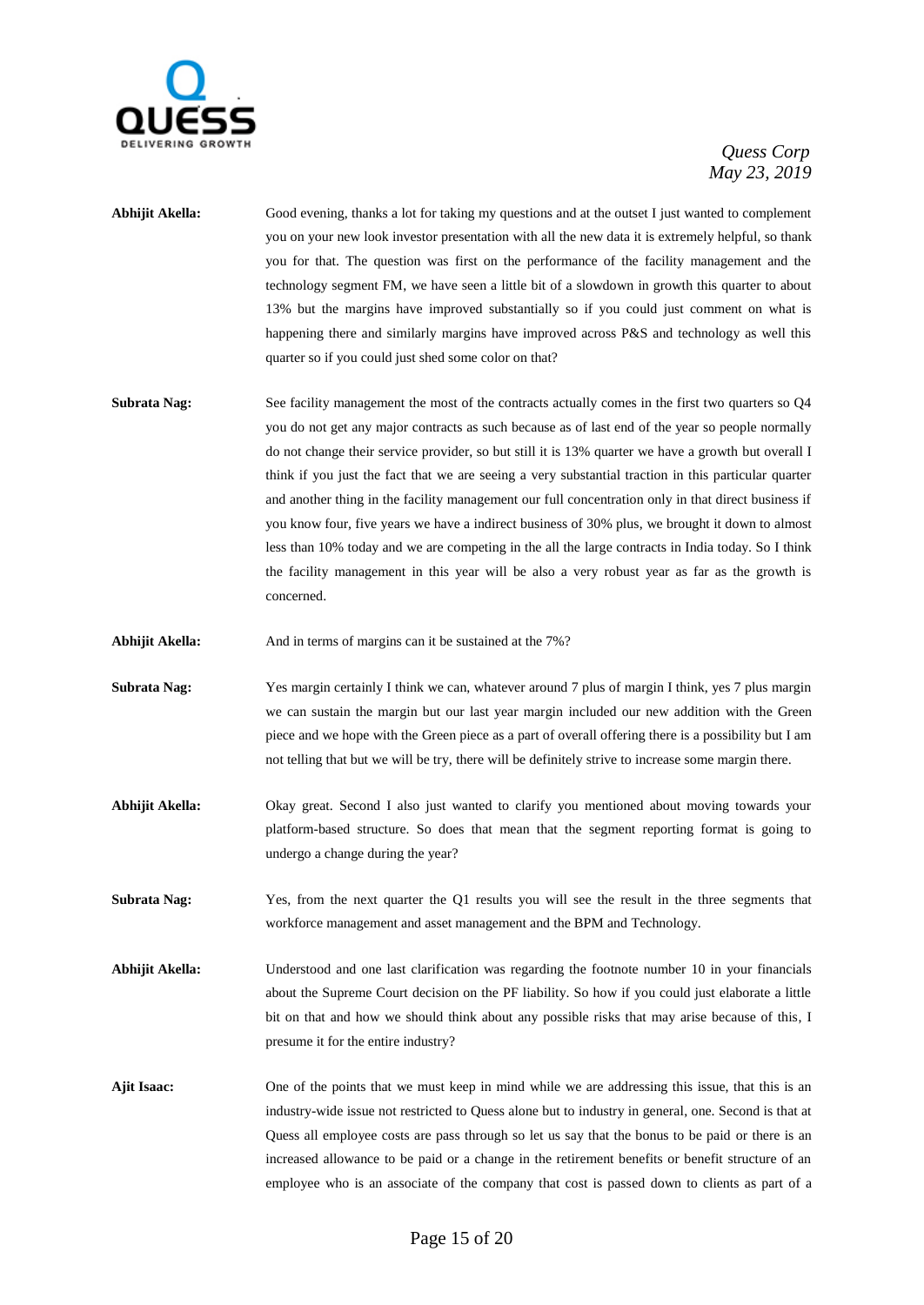

- **Abhijit Akella:** Good evening, thanks a lot for taking my questions and at the outset I just wanted to complement you on your new look investor presentation with all the new data it is extremely helpful, so thank you for that. The question was first on the performance of the facility management and the technology segment FM, we have seen a little bit of a slowdown in growth this quarter to about 13% but the margins have improved substantially so if you could just comment on what is happening there and similarly margins have improved across P&S and technology as well this quarter so if you could just shed some color on that?
- **Subrata Nag:** See facility management the most of the contracts actually comes in the first two quarters so Q4 you do not get any major contracts as such because as of last end of the year so people normally do not change their service provider, so but still it is 13% quarter we have a growth but overall I think if you just the fact that we are seeing a very substantial traction in this particular quarter and another thing in the facility management our full concentration only in that direct business if you know four, five years we have a indirect business of 30% plus, we brought it down to almost less than 10% today and we are competing in the all the large contracts in India today. So I think the facility management in this year will be also a very robust year as far as the growth is concerned.
- Abhijit Akella: And in terms of margins can it be sustained at the 7%?
- **Subrata Nag:** Yes margin certainly I think we can, whatever around 7 plus of margin I think, yes 7 plus margin we can sustain the margin but our last year margin included our new addition with the Green piece and we hope with the Green piece as a part of overall offering there is a possibility but I am not telling that but we will be try, there will be definitely strive to increase some margin there.
- **Abhijit Akella:** Okay great. Second I also just wanted to clarify you mentioned about moving towards your platform-based structure. So does that mean that the segment reporting format is going to undergo a change during the year?
- **Subrata Nag:** Yes, from the next quarter the Q1 results you will see the result in the three segments that workforce management and asset management and the BPM and Technology.
- **Abhijit Akella:** Understood and one last clarification was regarding the footnote number 10 in your financials about the Supreme Court decision on the PF liability. So how if you could just elaborate a little bit on that and how we should think about any possible risks that may arise because of this, I presume it for the entire industry?
- **Ajit Isaac:** One of the points that we must keep in mind while we are addressing this issue, that this is an industry-wide issue not restricted to Quess alone but to industry in general, one. Second is that at Quess all employee costs are pass through so let us say that the bonus to be paid or there is an increased allowance to be paid or a change in the retirement benefits or benefit structure of an employee who is an associate of the company that cost is passed down to clients as part of a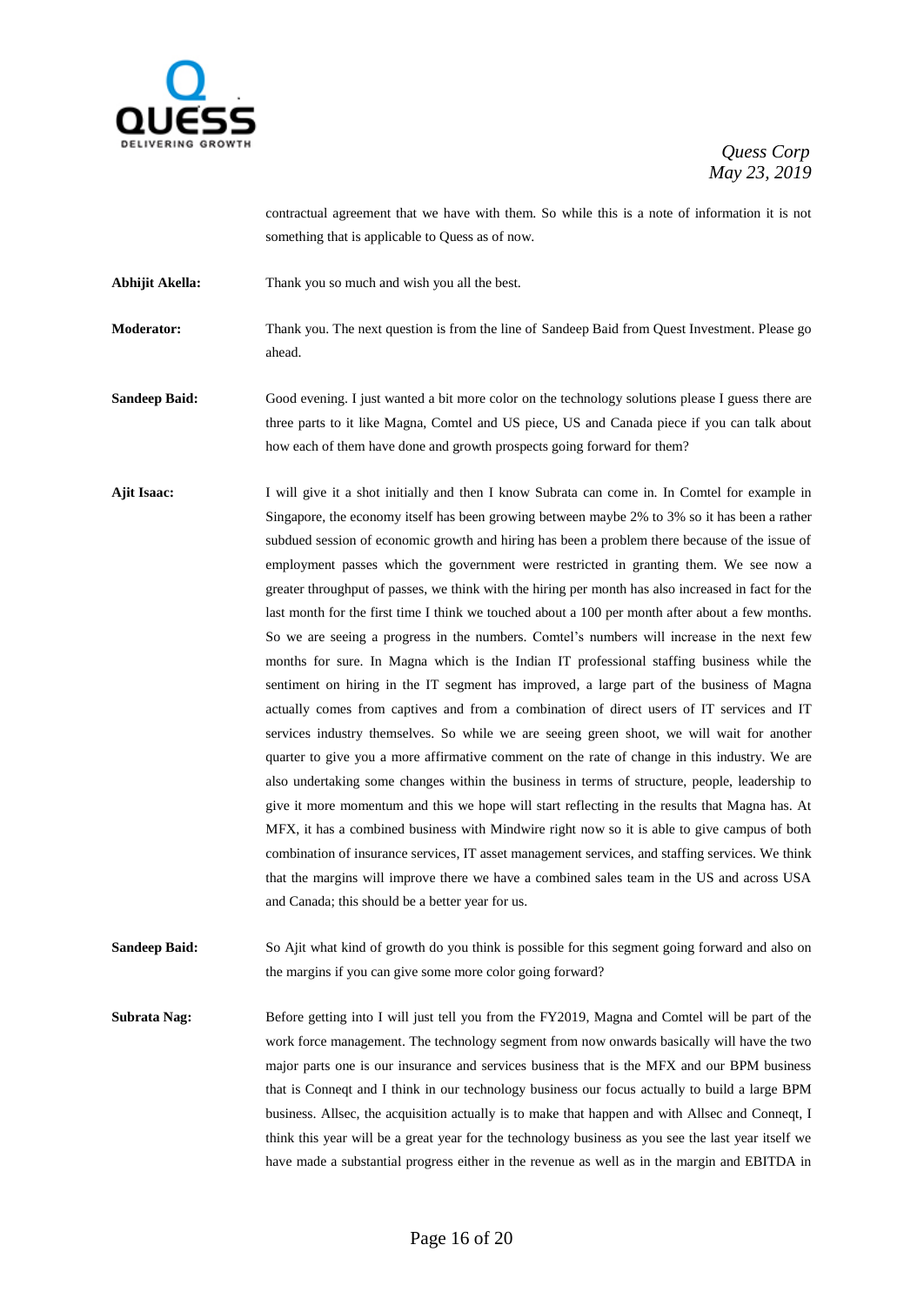

contractual agreement that we have with them. So while this is a note of information it is not something that is applicable to Quess as of now.

**Abhijit Akella:** Thank you so much and wish you all the best.

**Moderator:** Thank you. The next question is from the line of Sandeep Baid from Quest Investment. Please go ahead.

**Sandeep Baid:** Good evening. I just wanted a bit more color on the technology solutions please I guess there are three parts to it like Magna, Comtel and US piece, US and Canada piece if you can talk about how each of them have done and growth prospects going forward for them?

**Ajit Isaac:** I will give it a shot initially and then I know Subrata can come in. In Comtel for example in Singapore, the economy itself has been growing between maybe 2% to 3% so it has been a rather subdued session of economic growth and hiring has been a problem there because of the issue of employment passes which the government were restricted in granting them. We see now a greater throughput of passes, we think with the hiring per month has also increased in fact for the last month for the first time I think we touched about a 100 per month after about a few months. So we are seeing a progress in the numbers. Comtel's numbers will increase in the next few months for sure. In Magna which is the Indian IT professional staffing business while the sentiment on hiring in the IT segment has improved, a large part of the business of Magna actually comes from captives and from a combination of direct users of IT services and IT services industry themselves. So while we are seeing green shoot, we will wait for another quarter to give you a more affirmative comment on the rate of change in this industry. We are also undertaking some changes within the business in terms of structure, people, leadership to give it more momentum and this we hope will start reflecting in the results that Magna has. At MFX, it has a combined business with Mindwire right now so it is able to give campus of both combination of insurance services, IT asset management services, and staffing services. We think that the margins will improve there we have a combined sales team in the US and across USA and Canada; this should be a better year for us.

**Sandeep Baid:** So Ajit what kind of growth do you think is possible for this segment going forward and also on the margins if you can give some more color going forward?

**Subrata Nag:** Before getting into I will just tell you from the FY2019, Magna and Comtel will be part of the work force management. The technology segment from now onwards basically will have the two major parts one is our insurance and services business that is the MFX and our BPM business that is Conneqt and I think in our technology business our focus actually to build a large BPM business. Allsec, the acquisition actually is to make that happen and with Allsec and Conneqt, I think this year will be a great year for the technology business as you see the last year itself we have made a substantial progress either in the revenue as well as in the margin and EBITDA in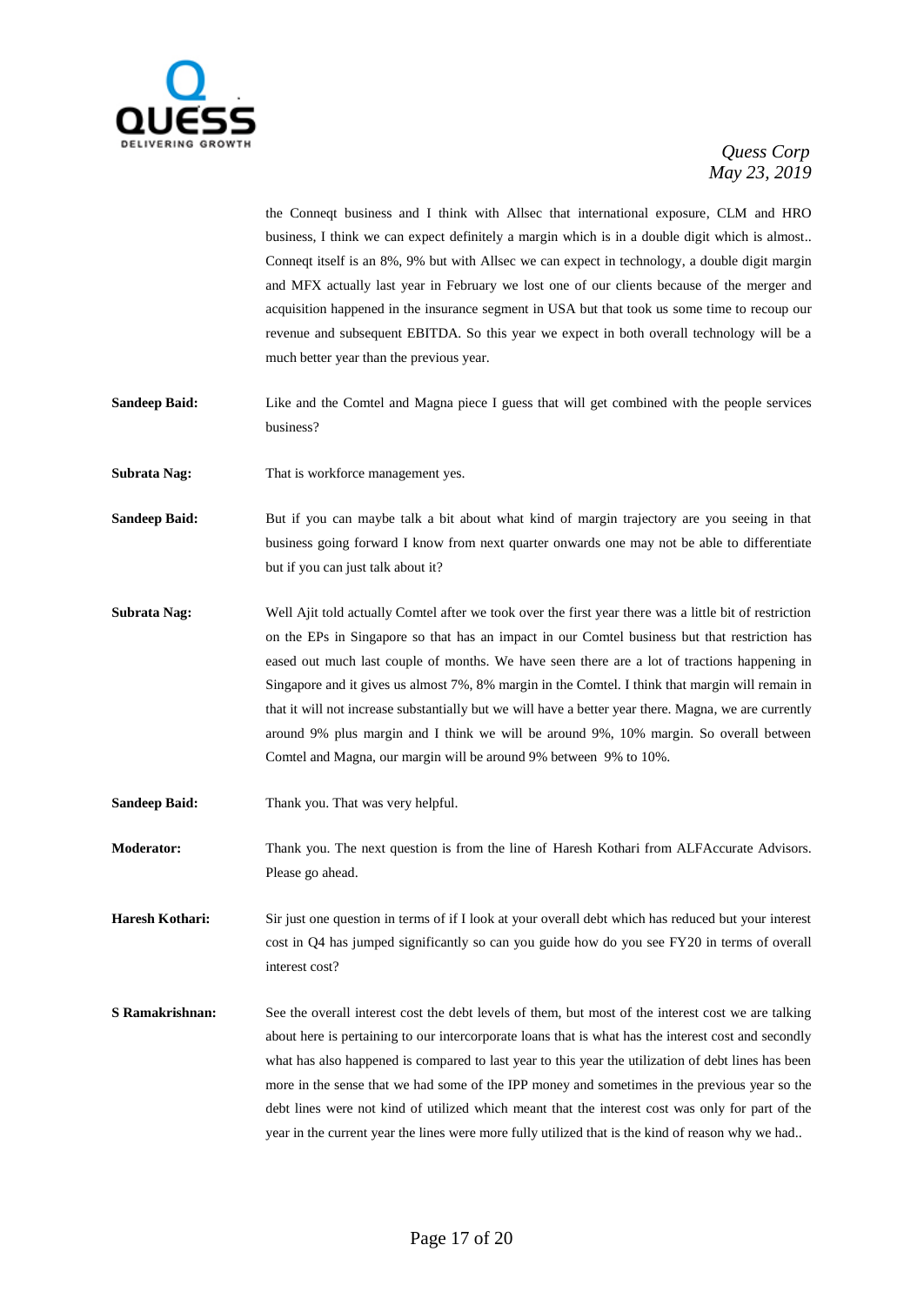

the Conneqt business and I think with Allsec that international exposure, CLM and HRO business, I think we can expect definitely a margin which is in a double digit which is almost.. Conneqt itself is an 8%, 9% but with Allsec we can expect in technology, a double digit margin and MFX actually last year in February we lost one of our clients because of the merger and acquisition happened in the insurance segment in USA but that took us some time to recoup our revenue and subsequent EBITDA. So this year we expect in both overall technology will be a much better year than the previous year.

- **Sandeep Baid:** Like and the Comtel and Magna piece I guess that will get combined with the people services business?
- **Subrata Nag:** That is workforce management yes.

**Sandeep Baid:** But if you can maybe talk a bit about what kind of margin trajectory are you seeing in that business going forward I know from next quarter onwards one may not be able to differentiate but if you can just talk about it?

- **Subrata Nag:** Well Ajit told actually Comtel after we took over the first year there was a little bit of restriction on the EPs in Singapore so that has an impact in our Comtel business but that restriction has eased out much last couple of months. We have seen there are a lot of tractions happening in Singapore and it gives us almost 7%, 8% margin in the Comtel. I think that margin will remain in that it will not increase substantially but we will have a better year there. Magna, we are currently around 9% plus margin and I think we will be around 9%, 10% margin. So overall between Comtel and Magna, our margin will be around 9% between 9% to 10%.
- Sandeep Baid: Thank you. That was very helpful.
- **Moderator:** Thank you. The next question is from the line of Haresh Kothari from ALFAccurate Advisors. Please go ahead.

**Haresh Kothari:** Sir just one question in terms of if I look at your overall debt which has reduced but your interest cost in Q4 has jumped significantly so can you guide how do you see FY20 in terms of overall interest cost?

**S Ramakrishnan:** See the overall interest cost the debt levels of them, but most of the interest cost we are talking about here is pertaining to our intercorporate loans that is what has the interest cost and secondly what has also happened is compared to last year to this year the utilization of debt lines has been more in the sense that we had some of the IPP money and sometimes in the previous year so the debt lines were not kind of utilized which meant that the interest cost was only for part of the year in the current year the lines were more fully utilized that is the kind of reason why we had..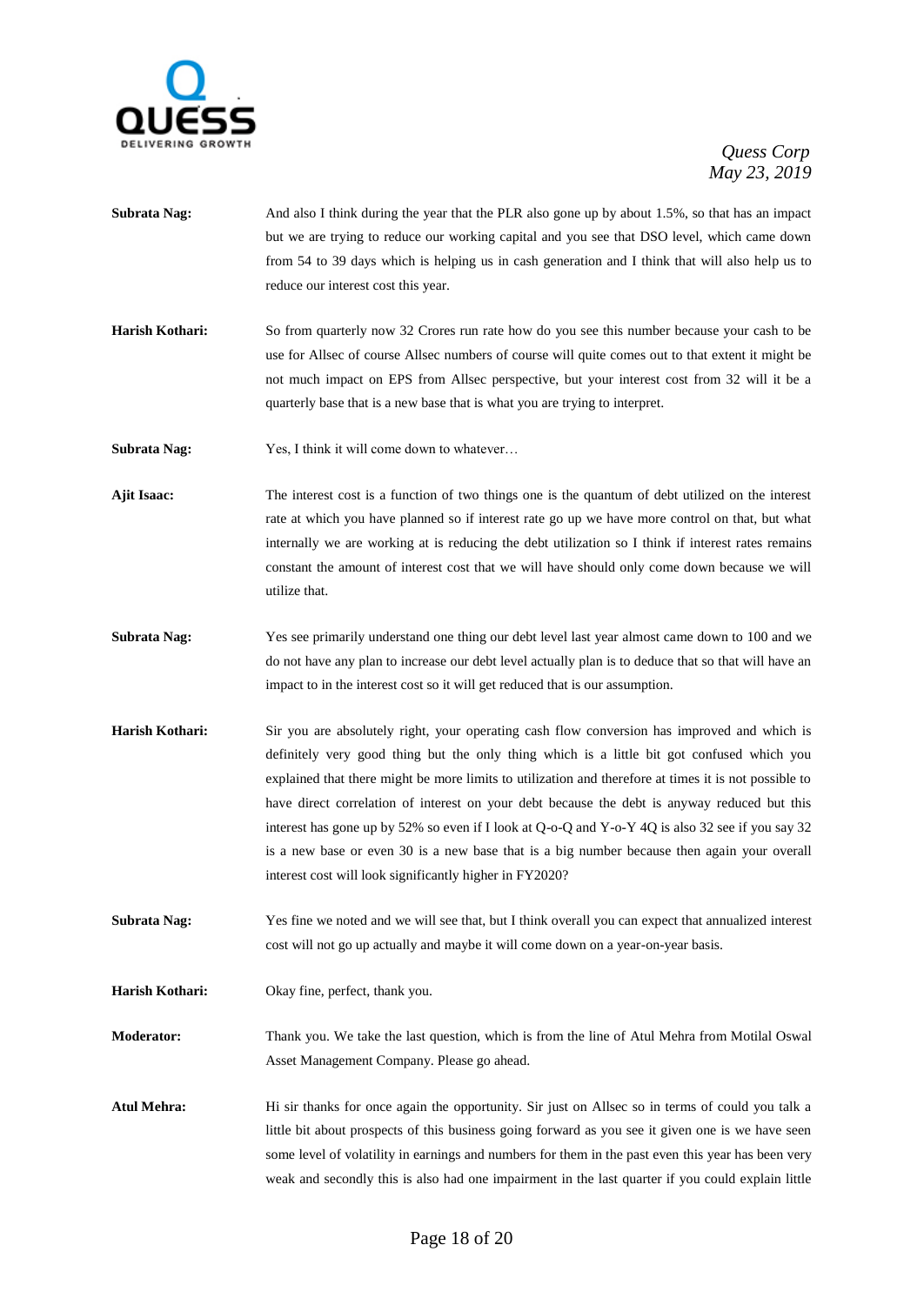

- **Subrata Nag:** And also I think during the year that the PLR also gone up by about 1.5%, so that has an impact but we are trying to reduce our working capital and you see that DSO level, which came down from 54 to 39 days which is helping us in cash generation and I think that will also help us to reduce our interest cost this year.
- **Harish Kothari:** So from quarterly now 32 Crores run rate how do you see this number because your cash to be use for Allsec of course Allsec numbers of course will quite comes out to that extent it might be not much impact on EPS from Allsec perspective, but your interest cost from 32 will it be a quarterly base that is a new base that is what you are trying to interpret.

**Subrata Nag:** Yes, I think it will come down to whatever...

- **Ajit Isaac:** The interest cost is a function of two things one is the quantum of debt utilized on the interest rate at which you have planned so if interest rate go up we have more control on that, but what internally we are working at is reducing the debt utilization so I think if interest rates remains constant the amount of interest cost that we will have should only come down because we will utilize that.
- **Subrata Nag:** Yes see primarily understand one thing our debt level last year almost came down to 100 and we do not have any plan to increase our debt level actually plan is to deduce that so that will have an impact to in the interest cost so it will get reduced that is our assumption.
- **Harish Kothari:** Sir you are absolutely right, your operating cash flow conversion has improved and which is definitely very good thing but the only thing which is a little bit got confused which you explained that there might be more limits to utilization and therefore at times it is not possible to have direct correlation of interest on your debt because the debt is anyway reduced but this interest has gone up by 52% so even if I look at Q-o-Q and Y-o-Y 4Q is also 32 see if you say 32 is a new base or even 30 is a new base that is a big number because then again your overall interest cost will look significantly higher in FY2020?
- **Subrata Nag:** Yes fine we noted and we will see that, but I think overall you can expect that annualized interest cost will not go up actually and maybe it will come down on a year-on-year basis.
- **Harish Kothari:** Okay fine, perfect, thank you.

**Moderator:** Thank you. We take the last question, which is from the line of Atul Mehra from Motilal Oswal Asset Management Company. Please go ahead.

**Atul Mehra:** Hi sir thanks for once again the opportunity. Sir just on Allsec so in terms of could you talk a little bit about prospects of this business going forward as you see it given one is we have seen some level of volatility in earnings and numbers for them in the past even this year has been very weak and secondly this is also had one impairment in the last quarter if you could explain little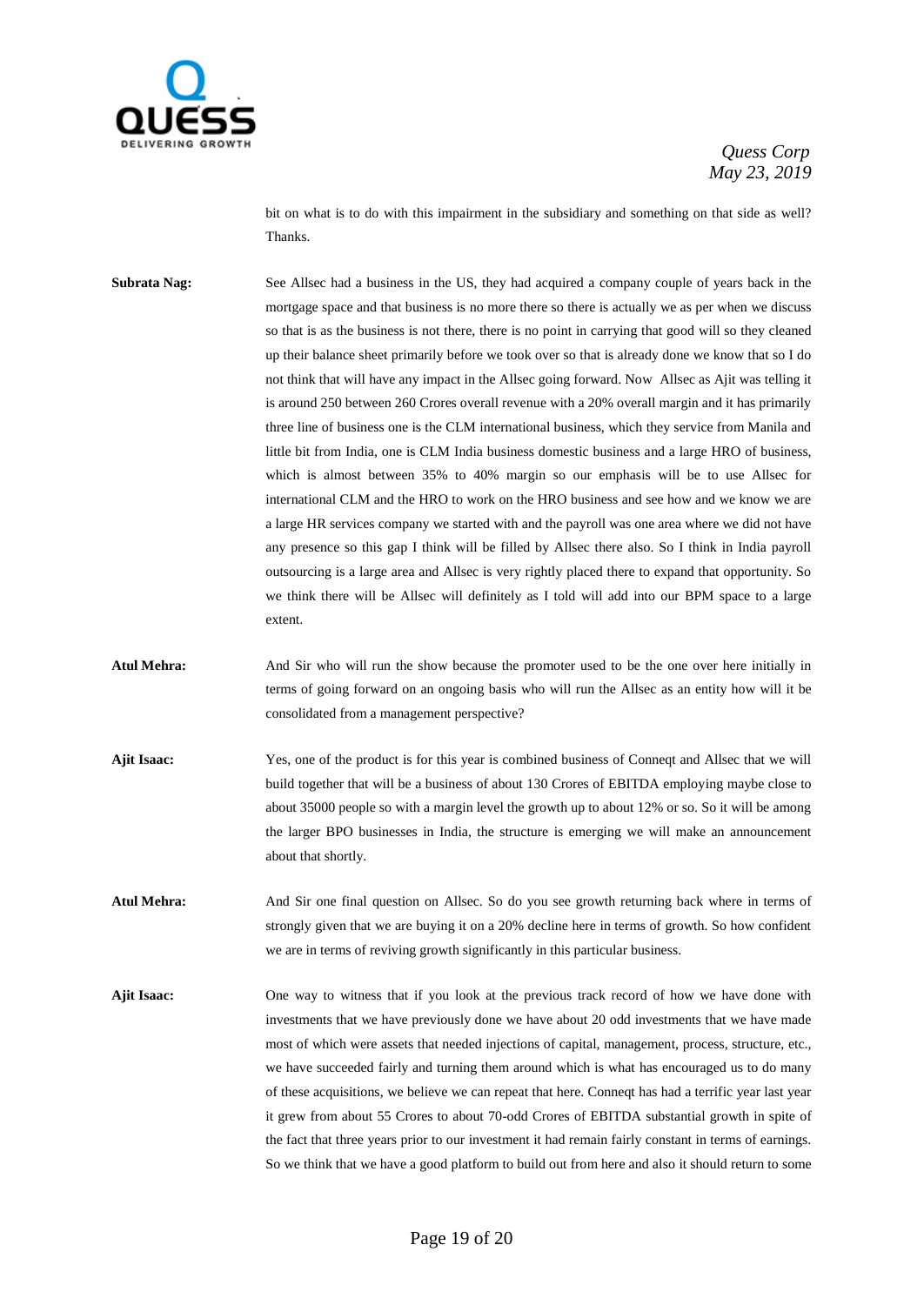

bit on what is to do with this impairment in the subsidiary and something on that side as well? Thanks.

**Subrata Nag:** See Allsec had a business in the US, they had acquired a company couple of years back in the mortgage space and that business is no more there so there is actually we as per when we discuss so that is as the business is not there, there is no point in carrying that good will so they cleaned up their balance sheet primarily before we took over so that is already done we know that so I do not think that will have any impact in the Allsec going forward. Now Allsec as Ajit was telling it is around 250 between 260 Crores overall revenue with a 20% overall margin and it has primarily three line of business one is the CLM international business, which they service from Manila and little bit from India, one is CLM India business domestic business and a large HRO of business, which is almost between 35% to 40% margin so our emphasis will be to use Allsec for international CLM and the HRO to work on the HRO business and see how and we know we are a large HR services company we started with and the payroll was one area where we did not have any presence so this gap I think will be filled by Allsec there also. So I think in India payroll outsourcing is a large area and Allsec is very rightly placed there to expand that opportunity. So we think there will be Allsec will definitely as I told will add into our BPM space to a large extent.

- **Atul Mehra:** And Sir who will run the show because the promoter used to be the one over here initially in terms of going forward on an ongoing basis who will run the Allsec as an entity how will it be consolidated from a management perspective?
- **Ajit Isaac:** Yes, one of the product is for this year is combined business of Conneqt and Allsec that we will build together that will be a business of about 130 Crores of EBITDA employing maybe close to about 35000 people so with a margin level the growth up to about 12% or so. So it will be among the larger BPO businesses in India, the structure is emerging we will make an announcement about that shortly.
- **Atul Mehra:** And Sir one final question on Allsec. So do you see growth returning back where in terms of strongly given that we are buying it on a 20% decline here in terms of growth. So how confident we are in terms of reviving growth significantly in this particular business.
- **Ajit Isaac:** One way to witness that if you look at the previous track record of how we have done with investments that we have previously done we have about 20 odd investments that we have made most of which were assets that needed injections of capital, management, process, structure, etc., we have succeeded fairly and turning them around which is what has encouraged us to do many of these acquisitions, we believe we can repeat that here. Conneqt has had a terrific year last year it grew from about 55 Crores to about 70-odd Crores of EBITDA substantial growth in spite of the fact that three years prior to our investment it had remain fairly constant in terms of earnings. So we think that we have a good platform to build out from here and also it should return to some